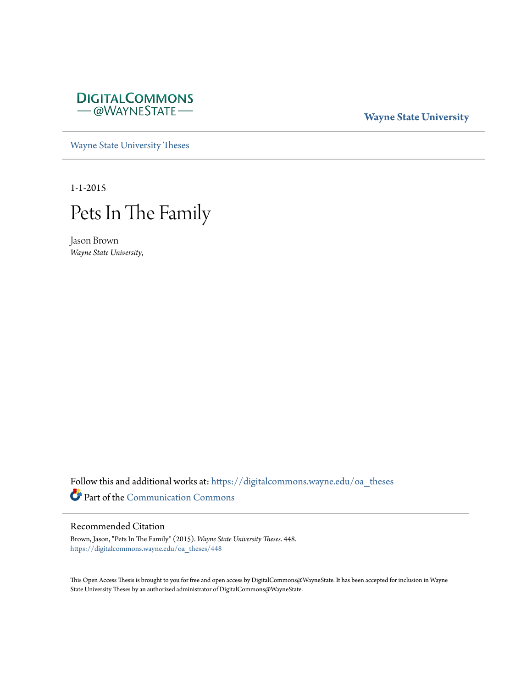

# **Wayne State University**

[Wayne State University Theses](https://digitalcommons.wayne.edu/oa_theses?utm_source=digitalcommons.wayne.edu%2Foa_theses%2F448&utm_medium=PDF&utm_campaign=PDFCoverPages)

1-1-2015



Jason Brown *Wayne State University*,

Follow this and additional works at: [https://digitalcommons.wayne.edu/oa\\_theses](https://digitalcommons.wayne.edu/oa_theses?utm_source=digitalcommons.wayne.edu%2Foa_theses%2F448&utm_medium=PDF&utm_campaign=PDFCoverPages) Part of the [Communication Commons](http://network.bepress.com/hgg/discipline/325?utm_source=digitalcommons.wayne.edu%2Foa_theses%2F448&utm_medium=PDF&utm_campaign=PDFCoverPages)

# Recommended Citation

Brown, Jason, "Pets In The Family" (2015). *Wayne State University Theses*. 448. [https://digitalcommons.wayne.edu/oa\\_theses/448](https://digitalcommons.wayne.edu/oa_theses/448?utm_source=digitalcommons.wayne.edu%2Foa_theses%2F448&utm_medium=PDF&utm_campaign=PDFCoverPages)

This Open Access Thesis is brought to you for free and open access by DigitalCommons@WayneState. It has been accepted for inclusion in Wayne State University Theses by an authorized administrator of DigitalCommons@WayneState.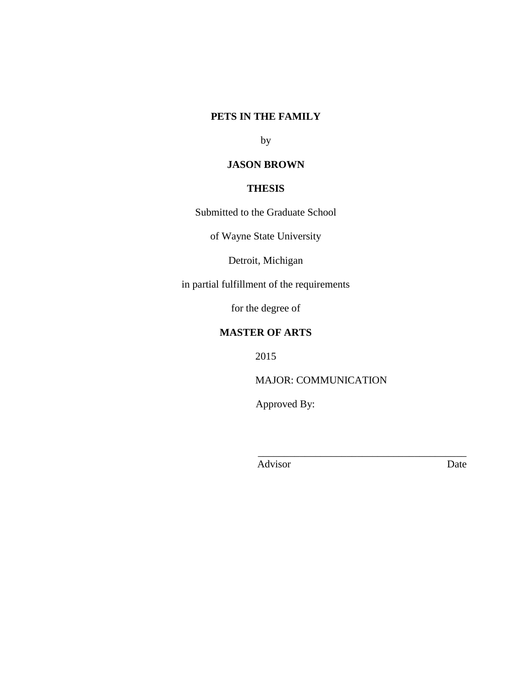# **PETS IN THE FAMILY**

by

# **JASON BROWN**

# **THESIS**

Submitted to the Graduate School

of Wayne State University

Detroit, Michigan

in partial fulfillment of the requirements

for the degree of

# **MASTER OF ARTS**

2015

MAJOR: COMMUNICATION

 $\frac{1}{2}$  ,  $\frac{1}{2}$  ,  $\frac{1}{2}$  ,  $\frac{1}{2}$  ,  $\frac{1}{2}$  ,  $\frac{1}{2}$  ,  $\frac{1}{2}$  ,  $\frac{1}{2}$  ,  $\frac{1}{2}$  ,  $\frac{1}{2}$  ,  $\frac{1}{2}$  ,  $\frac{1}{2}$  ,  $\frac{1}{2}$  ,  $\frac{1}{2}$  ,  $\frac{1}{2}$  ,  $\frac{1}{2}$  ,  $\frac{1}{2}$  ,  $\frac{1}{2}$  ,  $\frac{1$ 

Approved By:

Advisor Date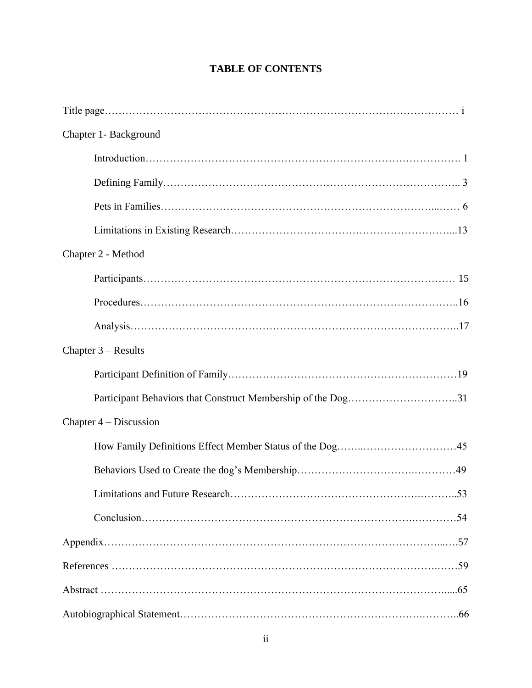# **TABLE OF CONTENTS**

| Chapter 1- Background                                        |
|--------------------------------------------------------------|
|                                                              |
|                                                              |
|                                                              |
|                                                              |
| Chapter 2 - Method                                           |
|                                                              |
|                                                              |
|                                                              |
| Chapter $3 - Results$                                        |
|                                                              |
| Participant Behaviors that Construct Membership of the Dog31 |
| Chapter $4 -$ Discussion                                     |
|                                                              |
|                                                              |
|                                                              |
|                                                              |
|                                                              |
|                                                              |
|                                                              |
|                                                              |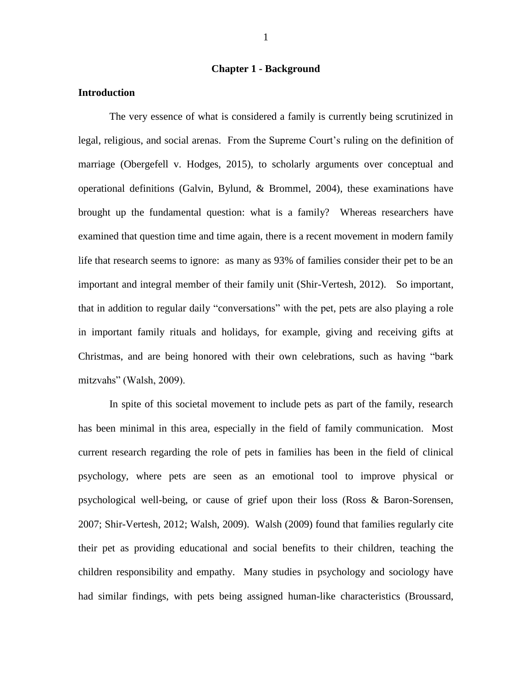#### **Chapter 1 - Background**

# **Introduction**

The very essence of what is considered a family is currently being scrutinized in legal, religious, and social arenas. From the Supreme Court's ruling on the definition of marriage (Obergefell v. Hodges, 2015), to scholarly arguments over conceptual and operational definitions (Galvin, Bylund, & Brommel, 2004), these examinations have brought up the fundamental question: what is a family? Whereas researchers have examined that question time and time again, there is a recent movement in modern family life that research seems to ignore: as many as 93% of families consider their pet to be an important and integral member of their family unit (Shir-Vertesh, 2012). So important, that in addition to regular daily "conversations" with the pet, pets are also playing a role in important family rituals and holidays, for example, giving and receiving gifts at Christmas, and are being honored with their own celebrations, such as having "bark mitzvahs" (Walsh, 2009).

In spite of this societal movement to include pets as part of the family, research has been minimal in this area, especially in the field of family communication. Most current research regarding the role of pets in families has been in the field of clinical psychology, where pets are seen as an emotional tool to improve physical or psychological well-being, or cause of grief upon their loss (Ross & Baron-Sorensen, 2007; Shir-Vertesh, 2012; Walsh, 2009). Walsh (2009) found that families regularly cite their pet as providing educational and social benefits to their children, teaching the children responsibility and empathy. Many studies in psychology and sociology have had similar findings, with pets being assigned human-like characteristics (Broussard,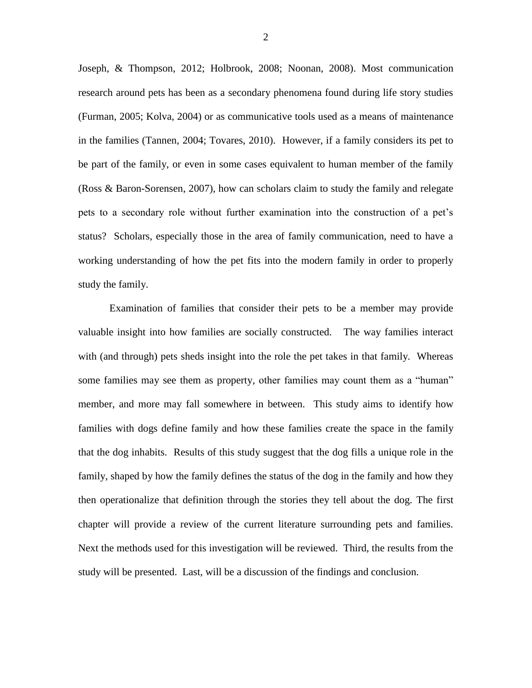Joseph, & Thompson, 2012; Holbrook, 2008; Noonan, 2008). Most communication research around pets has been as a secondary phenomena found during life story studies (Furman, 2005; Kolva, 2004) or as communicative tools used as a means of maintenance in the families (Tannen, 2004; Tovares, 2010). However, if a family considers its pet to be part of the family, or even in some cases equivalent to human member of the family (Ross & Baron-Sorensen, 2007), how can scholars claim to study the family and relegate pets to a secondary role without further examination into the construction of a pet's status? Scholars, especially those in the area of family communication, need to have a working understanding of how the pet fits into the modern family in order to properly study the family.

Examination of families that consider their pets to be a member may provide valuable insight into how families are socially constructed. The way families interact with (and through) pets sheds insight into the role the pet takes in that family. Whereas some families may see them as property, other families may count them as a "human" member, and more may fall somewhere in between. This study aims to identify how families with dogs define family and how these families create the space in the family that the dog inhabits. Results of this study suggest that the dog fills a unique role in the family, shaped by how the family defines the status of the dog in the family and how they then operationalize that definition through the stories they tell about the dog. The first chapter will provide a review of the current literature surrounding pets and families. Next the methods used for this investigation will be reviewed. Third, the results from the study will be presented. Last, will be a discussion of the findings and conclusion.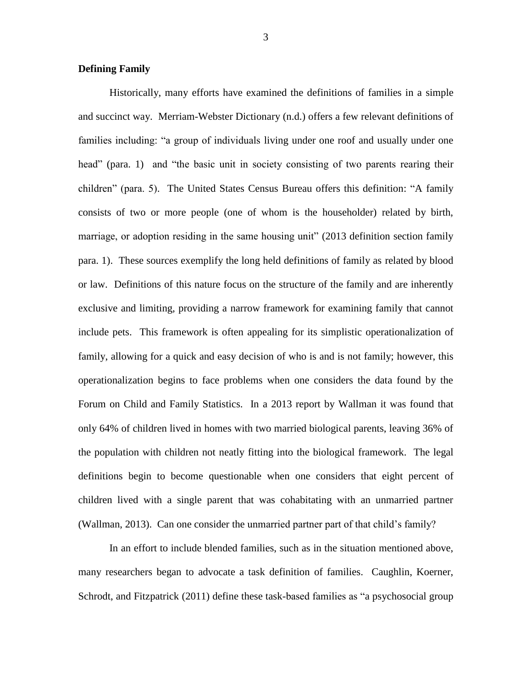## **Defining Family**

Historically, many efforts have examined the definitions of families in a simple and succinct way. Merriam-Webster Dictionary (n.d.) offers a few relevant definitions of families including: "a group of individuals living under one roof and usually under one head" (para. 1) and "the basic unit in society consisting of two parents rearing their children" (para. 5). The United States Census Bureau offers this definition: "A family consists of two or more people (one of whom is the householder) related by birth, marriage, or adoption residing in the same housing unit" (2013 definition section family para. 1). These sources exemplify the long held definitions of family as related by blood or law. Definitions of this nature focus on the structure of the family and are inherently exclusive and limiting, providing a narrow framework for examining family that cannot include pets. This framework is often appealing for its simplistic operationalization of family, allowing for a quick and easy decision of who is and is not family; however, this operationalization begins to face problems when one considers the data found by the Forum on Child and Family Statistics. In a 2013 report by Wallman it was found that only 64% of children lived in homes with two married biological parents, leaving 36% of the population with children not neatly fitting into the biological framework. The legal definitions begin to become questionable when one considers that eight percent of children lived with a single parent that was cohabitating with an unmarried partner (Wallman, 2013). Can one consider the unmarried partner part of that child's family?

In an effort to include blended families, such as in the situation mentioned above, many researchers began to advocate a task definition of families. Caughlin, Koerner, Schrodt, and Fitzpatrick (2011) define these task-based families as "a psychosocial group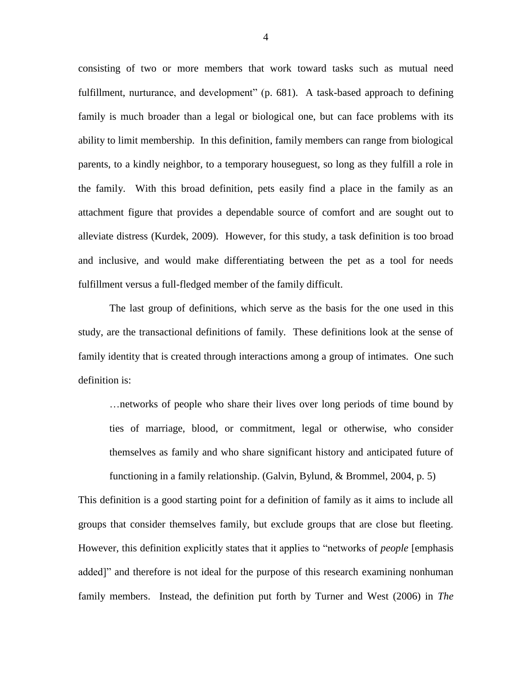consisting of two or more members that work toward tasks such as mutual need fulfillment, nurturance, and development" (p. 681). A task-based approach to defining family is much broader than a legal or biological one, but can face problems with its ability to limit membership. In this definition, family members can range from biological parents, to a kindly neighbor, to a temporary houseguest, so long as they fulfill a role in the family. With this broad definition, pets easily find a place in the family as an attachment figure that provides a dependable source of comfort and are sought out to alleviate distress (Kurdek, 2009). However, for this study, a task definition is too broad and inclusive, and would make differentiating between the pet as a tool for needs fulfillment versus a full-fledged member of the family difficult.

The last group of definitions, which serve as the basis for the one used in this study, are the transactional definitions of family. These definitions look at the sense of family identity that is created through interactions among a group of intimates. One such definition is:

…networks of people who share their lives over long periods of time bound by ties of marriage, blood, or commitment, legal or otherwise, who consider themselves as family and who share significant history and anticipated future of functioning in a family relationship. (Galvin, Bylund, & Brommel, 2004, p. 5)

This definition is a good starting point for a definition of family as it aims to include all groups that consider themselves family, but exclude groups that are close but fleeting. However, this definition explicitly states that it applies to "networks of *people* [emphasis added]" and therefore is not ideal for the purpose of this research examining nonhuman family members. Instead, the definition put forth by Turner and West (2006) in *The*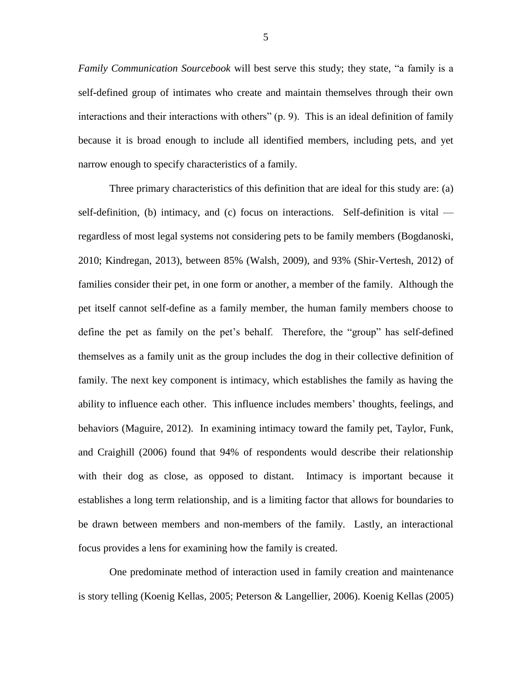*Family Communication Sourcebook* will best serve this study; they state, "a family is a self-defined group of intimates who create and maintain themselves through their own interactions and their interactions with others" (p. 9). This is an ideal definition of family because it is broad enough to include all identified members, including pets, and yet narrow enough to specify characteristics of a family.

Three primary characteristics of this definition that are ideal for this study are: (a) self-definition, (b) intimacy, and (c) focus on interactions. Self-definition is vital regardless of most legal systems not considering pets to be family members (Bogdanoski, 2010; Kindregan, 2013), between 85% (Walsh, 2009), and 93% (Shir-Vertesh, 2012) of families consider their pet, in one form or another, a member of the family. Although the pet itself cannot self-define as a family member, the human family members choose to define the pet as family on the pet's behalf. Therefore, the "group" has self-defined themselves as a family unit as the group includes the dog in their collective definition of family. The next key component is intimacy, which establishes the family as having the ability to influence each other. This influence includes members' thoughts, feelings, and behaviors (Maguire, 2012). In examining intimacy toward the family pet, Taylor, Funk, and Craighill (2006) found that 94% of respondents would describe their relationship with their dog as close, as opposed to distant. Intimacy is important because it establishes a long term relationship, and is a limiting factor that allows for boundaries to be drawn between members and non-members of the family. Lastly, an interactional focus provides a lens for examining how the family is created.

One predominate method of interaction used in family creation and maintenance is story telling (Koenig Kellas, 2005; Peterson & Langellier, 2006). Koenig Kellas (2005)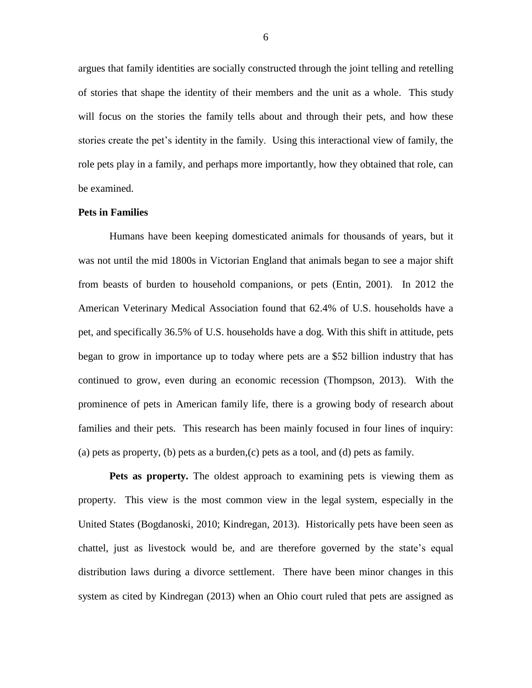argues that family identities are socially constructed through the joint telling and retelling of stories that shape the identity of their members and the unit as a whole. This study will focus on the stories the family tells about and through their pets, and how these stories create the pet's identity in the family. Using this interactional view of family, the role pets play in a family, and perhaps more importantly, how they obtained that role, can be examined.

#### **Pets in Families**

Humans have been keeping domesticated animals for thousands of years, but it was not until the mid 1800s in Victorian England that animals began to see a major shift from beasts of burden to household companions, or pets (Entin, 2001). In 2012 the American Veterinary Medical Association found that 62.4% of U.S. households have a pet, and specifically 36.5% of U.S. households have a dog. With this shift in attitude, pets began to grow in importance up to today where pets are a \$52 billion industry that has continued to grow, even during an economic recession (Thompson, 2013). With the prominence of pets in American family life, there is a growing body of research about families and their pets. This research has been mainly focused in four lines of inquiry: (a) pets as property, (b) pets as a burden,  $(c)$  pets as a tool, and  $(d)$  pets as family.

**Pets as property.** The oldest approach to examining pets is viewing them as property. This view is the most common view in the legal system, especially in the United States (Bogdanoski, 2010; Kindregan, 2013). Historically pets have been seen as chattel, just as livestock would be, and are therefore governed by the state's equal distribution laws during a divorce settlement. There have been minor changes in this system as cited by Kindregan (2013) when an Ohio court ruled that pets are assigned as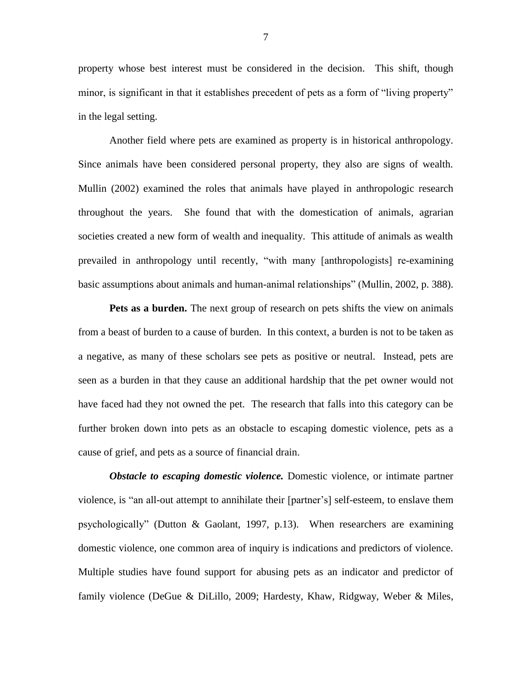property whose best interest must be considered in the decision. This shift, though minor, is significant in that it establishes precedent of pets as a form of "living property" in the legal setting.

Another field where pets are examined as property is in historical anthropology. Since animals have been considered personal property, they also are signs of wealth. Mullin (2002) examined the roles that animals have played in anthropologic research throughout the years. She found that with the domestication of animals, agrarian societies created a new form of wealth and inequality. This attitude of animals as wealth prevailed in anthropology until recently, "with many [anthropologists] re-examining basic assumptions about animals and human-animal relationships" (Mullin, 2002, p. 388).

**Pets as a burden.** The next group of research on pets shifts the view on animals from a beast of burden to a cause of burden. In this context, a burden is not to be taken as a negative, as many of these scholars see pets as positive or neutral. Instead, pets are seen as a burden in that they cause an additional hardship that the pet owner would not have faced had they not owned the pet. The research that falls into this category can be further broken down into pets as an obstacle to escaping domestic violence, pets as a cause of grief, and pets as a source of financial drain.

*Obstacle to escaping domestic violence.* Domestic violence, or intimate partner violence, is "an all-out attempt to annihilate their [partner's] self-esteem, to enslave them psychologically" (Dutton & Gaolant, 1997, p.13). When researchers are examining domestic violence, one common area of inquiry is indications and predictors of violence. Multiple studies have found support for abusing pets as an indicator and predictor of family violence (DeGue & DiLillo, 2009; Hardesty, Khaw, Ridgway, Weber & Miles,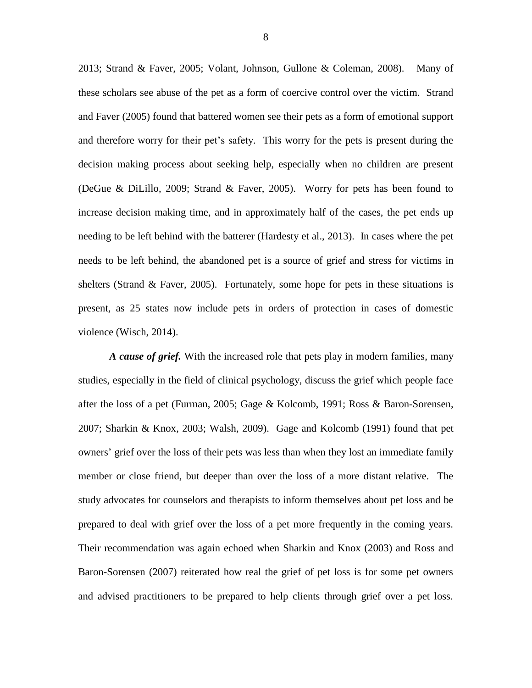2013; Strand & Faver, 2005; Volant, Johnson, Gullone & Coleman, 2008). Many of these scholars see abuse of the pet as a form of coercive control over the victim. Strand and Faver (2005) found that battered women see their pets as a form of emotional support and therefore worry for their pet's safety. This worry for the pets is present during the decision making process about seeking help, especially when no children are present (DeGue & DiLillo, 2009; Strand & Faver, 2005). Worry for pets has been found to increase decision making time, and in approximately half of the cases, the pet ends up needing to be left behind with the batterer (Hardesty et al., 2013). In cases where the pet needs to be left behind, the abandoned pet is a source of grief and stress for victims in shelters (Strand  $\&$  Faver, 2005). Fortunately, some hope for pets in these situations is present, as 25 states now include pets in orders of protection in cases of domestic violence (Wisch, 2014).

*A cause of grief.* With the increased role that pets play in modern families, many studies, especially in the field of clinical psychology, discuss the grief which people face after the loss of a pet (Furman, 2005; Gage & Kolcomb, 1991; Ross & Baron-Sorensen, 2007; Sharkin & Knox, 2003; Walsh, 2009). Gage and Kolcomb (1991) found that pet owners' grief over the loss of their pets was less than when they lost an immediate family member or close friend, but deeper than over the loss of a more distant relative. The study advocates for counselors and therapists to inform themselves about pet loss and be prepared to deal with grief over the loss of a pet more frequently in the coming years. Their recommendation was again echoed when Sharkin and Knox (2003) and Ross and Baron-Sorensen (2007) reiterated how real the grief of pet loss is for some pet owners and advised practitioners to be prepared to help clients through grief over a pet loss.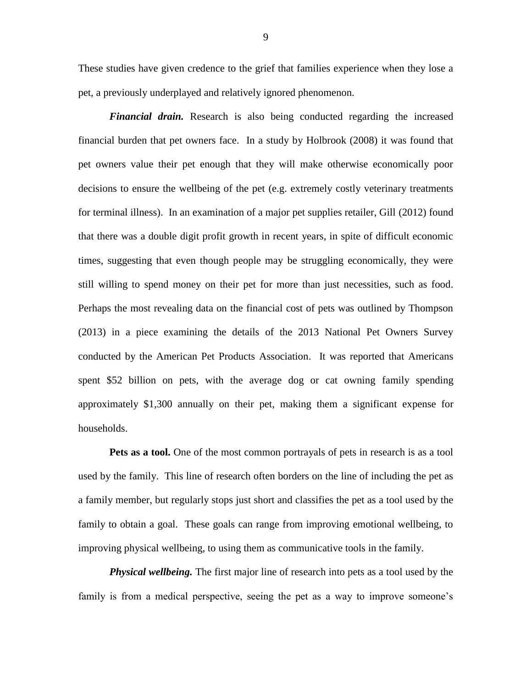These studies have given credence to the grief that families experience when they lose a pet, a previously underplayed and relatively ignored phenomenon.

*Financial drain.* Research is also being conducted regarding the increased financial burden that pet owners face. In a study by Holbrook (2008) it was found that pet owners value their pet enough that they will make otherwise economically poor decisions to ensure the wellbeing of the pet (e.g. extremely costly veterinary treatments for terminal illness). In an examination of a major pet supplies retailer, Gill (2012) found that there was a double digit profit growth in recent years, in spite of difficult economic times, suggesting that even though people may be struggling economically, they were still willing to spend money on their pet for more than just necessities, such as food. Perhaps the most revealing data on the financial cost of pets was outlined by Thompson (2013) in a piece examining the details of the 2013 National Pet Owners Survey conducted by the American Pet Products Association. It was reported that Americans spent \$52 billion on pets, with the average dog or cat owning family spending approximately \$1,300 annually on their pet, making them a significant expense for households.

**Pets as a tool.** One of the most common portrayals of pets in research is as a tool used by the family. This line of research often borders on the line of including the pet as a family member, but regularly stops just short and classifies the pet as a tool used by the family to obtain a goal. These goals can range from improving emotional wellbeing, to improving physical wellbeing, to using them as communicative tools in the family.

*Physical wellbeing.* The first major line of research into pets as a tool used by the family is from a medical perspective, seeing the pet as a way to improve someone's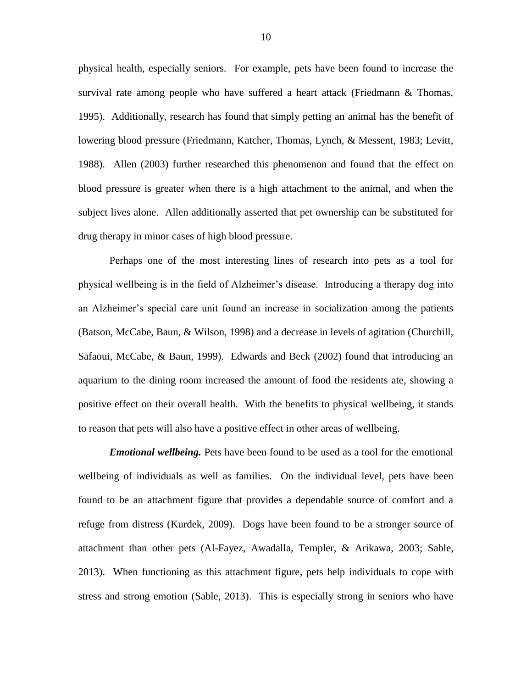physical health, especially seniors. For example, pets have been found to increase the survival rate among people who have suffered a heart attack (Friedmann  $\&$  Thomas, 1995). Additionally, research has found that simply petting an animal has the benefit of lowering blood pressure (Friedmann, Katcher, Thomas, Lynch, & Messent, 1983; Levitt, 1988). Allen (2003) further researched this phenomenon and found that the effect on blood pressure is greater when there is a high attachment to the animal, and when the subject lives alone. Allen additionally asserted that pet ownership can be substituted for drug therapy in minor cases of high blood pressure.

Perhaps one of the most interesting lines of research into pets as a tool for physical wellbeing is in the field of Alzheimer's disease. Introducing a therapy dog into an Alzheimer's special care unit found an increase in socialization among the patients (Batson, McCabe, Baun, & Wilson, 1998) and a decrease in levels of agitation (Churchill, Safaoui, McCabe, & Baun, 1999). Edwards and Beck (2002) found that introducing an aquarium to the dining room increased the amount of food the residents ate, showing a positive effect on their overall health. With the benefits to physical wellbeing, it stands to reason that pets will also have a positive effect in other areas of wellbeing.

*Emotional wellbeing.* Pets have been found to be used as a tool for the emotional wellbeing of individuals as well as families. On the individual level, pets have been found to be an attachment figure that provides a dependable source of comfort and a refuge from distress (Kurdek, 2009). Dogs have been found to be a stronger source of attachment than other pets (Al-Fayez, Awadalla, Templer, & Arikawa, 2003; Sable, 2013). When functioning as this attachment figure, pets help individuals to cope with stress and strong emotion (Sable, 2013). This is especially strong in seniors who have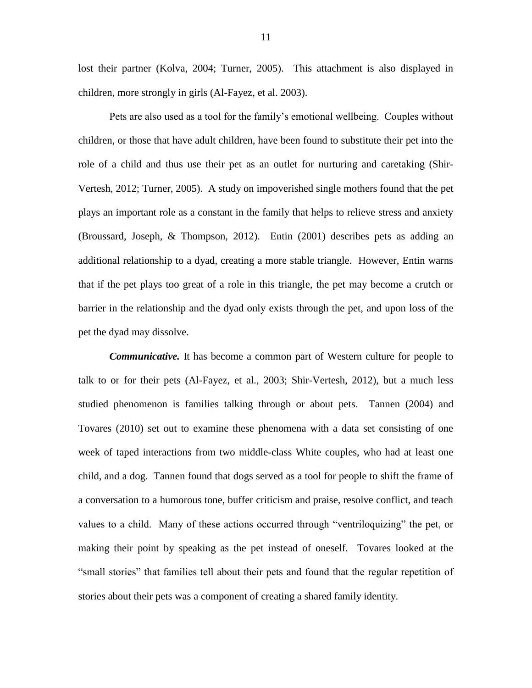lost their partner (Kolva, 2004; Turner, 2005). This attachment is also displayed in children, more strongly in girls (Al-Fayez, et al. 2003).

Pets are also used as a tool for the family's emotional wellbeing. Couples without children, or those that have adult children, have been found to substitute their pet into the role of a child and thus use their pet as an outlet for nurturing and caretaking (Shir-Vertesh, 2012; Turner, 2005). A study on impoverished single mothers found that the pet plays an important role as a constant in the family that helps to relieve stress and anxiety (Broussard, Joseph, & Thompson, 2012). Entin (2001) describes pets as adding an additional relationship to a dyad, creating a more stable triangle. However, Entin warns that if the pet plays too great of a role in this triangle, the pet may become a crutch or barrier in the relationship and the dyad only exists through the pet, and upon loss of the pet the dyad may dissolve.

*Communicative.* It has become a common part of Western culture for people to talk to or for their pets (Al-Fayez, et al., 2003; Shir-Vertesh, 2012), but a much less studied phenomenon is families talking through or about pets. Tannen (2004) and Tovares (2010) set out to examine these phenomena with a data set consisting of one week of taped interactions from two middle-class White couples, who had at least one child, and a dog. Tannen found that dogs served as a tool for people to shift the frame of a conversation to a humorous tone, buffer criticism and praise, resolve conflict, and teach values to a child. Many of these actions occurred through "ventriloquizing" the pet, or making their point by speaking as the pet instead of oneself. Tovares looked at the "small stories" that families tell about their pets and found that the regular repetition of stories about their pets was a component of creating a shared family identity.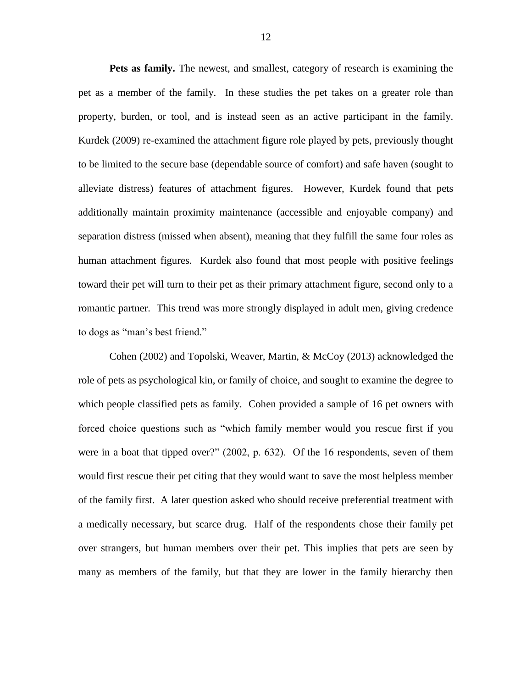**Pets as family.** The newest, and smallest, category of research is examining the pet as a member of the family. In these studies the pet takes on a greater role than property, burden, or tool, and is instead seen as an active participant in the family. Kurdek (2009) re-examined the attachment figure role played by pets, previously thought to be limited to the secure base (dependable source of comfort) and safe haven (sought to alleviate distress) features of attachment figures. However, Kurdek found that pets additionally maintain proximity maintenance (accessible and enjoyable company) and separation distress (missed when absent), meaning that they fulfill the same four roles as human attachment figures. Kurdek also found that most people with positive feelings toward their pet will turn to their pet as their primary attachment figure, second only to a romantic partner. This trend was more strongly displayed in adult men, giving credence to dogs as "man's best friend."

Cohen (2002) and Topolski, Weaver, Martin, & McCoy (2013) acknowledged the role of pets as psychological kin, or family of choice, and sought to examine the degree to which people classified pets as family. Cohen provided a sample of 16 pet owners with forced choice questions such as "which family member would you rescue first if you were in a boat that tipped over?" (2002, p. 632). Of the 16 respondents, seven of them would first rescue their pet citing that they would want to save the most helpless member of the family first. A later question asked who should receive preferential treatment with a medically necessary, but scarce drug. Half of the respondents chose their family pet over strangers, but human members over their pet. This implies that pets are seen by many as members of the family, but that they are lower in the family hierarchy then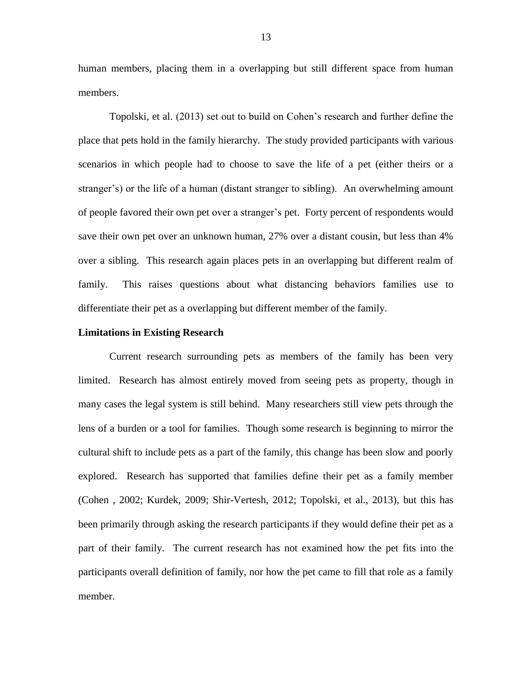human members, placing them in a overlapping but still different space from human members.

Topolski, et al. (2013) set out to build on Cohen's research and further define the place that pets hold in the family hierarchy. The study provided participants with various scenarios in which people had to choose to save the life of a pet (either theirs or a stranger's) or the life of a human (distant stranger to sibling). An overwhelming amount of people favored their own pet over a stranger's pet. Forty percent of respondents would save their own pet over an unknown human, 27% over a distant cousin, but less than 4% over a sibling. This research again places pets in an overlapping but different realm of family. This raises questions about what distancing behaviors families use to differentiate their pet as a overlapping but different member of the family.

#### **Limitations in Existing Research**

Current research surrounding pets as members of the family has been very limited. Research has almost entirely moved from seeing pets as property, though in many cases the legal system is still behind. Many researchers still view pets through the lens of a burden or a tool for families. Though some research is beginning to mirror the cultural shift to include pets as a part of the family, this change has been slow and poorly explored. Research has supported that families define their pet as a family member (Cohen , 2002; Kurdek, 2009; Shir-Vertesh, 2012; Topolski, et al., 2013), but this has been primarily through asking the research participants if they would define their pet as a part of their family. The current research has not examined how the pet fits into the participants overall definition of family, nor how the pet came to fill that role as a family member.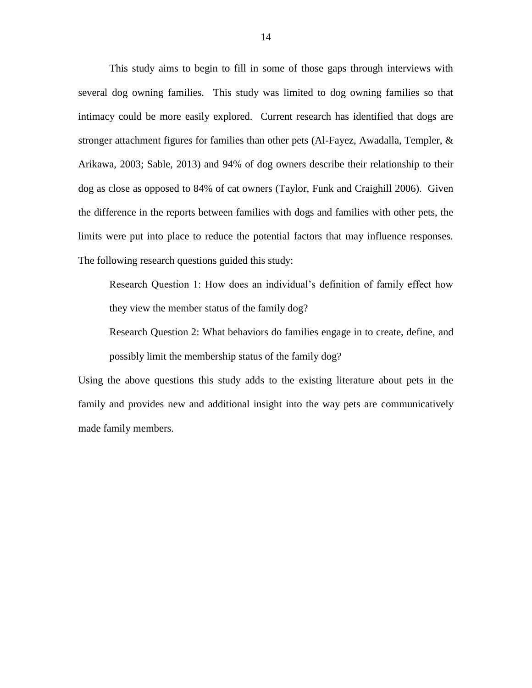This study aims to begin to fill in some of those gaps through interviews with several dog owning families. This study was limited to dog owning families so that intimacy could be more easily explored. Current research has identified that dogs are stronger attachment figures for families than other pets (Al-Fayez, Awadalla, Templer,  $\&$ Arikawa, 2003; Sable, 2013) and 94% of dog owners describe their relationship to their dog as close as opposed to 84% of cat owners (Taylor, Funk and Craighill 2006). Given the difference in the reports between families with dogs and families with other pets, the limits were put into place to reduce the potential factors that may influence responses. The following research questions guided this study:

Research Question 1: How does an individual's definition of family effect how they view the member status of the family dog?

Research Question 2: What behaviors do families engage in to create, define, and possibly limit the membership status of the family dog?

Using the above questions this study adds to the existing literature about pets in the family and provides new and additional insight into the way pets are communicatively made family members.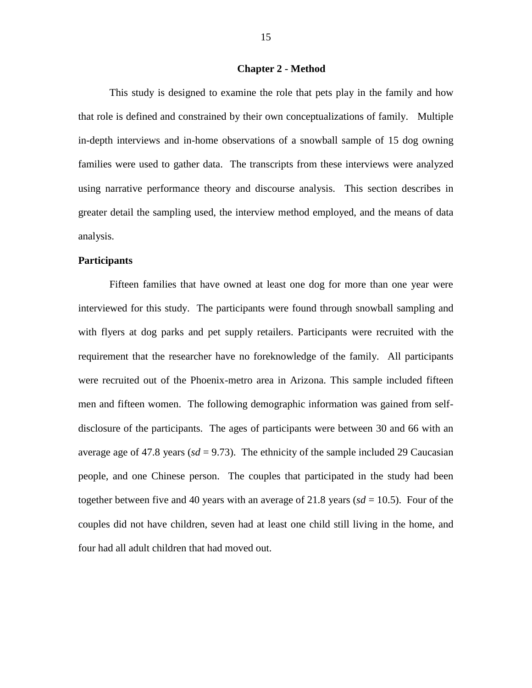#### **Chapter 2 - Method**

This study is designed to examine the role that pets play in the family and how that role is defined and constrained by their own conceptualizations of family. Multiple in-depth interviews and in-home observations of a snowball sample of 15 dog owning families were used to gather data. The transcripts from these interviews were analyzed using narrative performance theory and discourse analysis. This section describes in greater detail the sampling used, the interview method employed, and the means of data analysis.

#### **Participants**

Fifteen families that have owned at least one dog for more than one year were interviewed for this study. The participants were found through snowball sampling and with flyers at dog parks and pet supply retailers. Participants were recruited with the requirement that the researcher have no foreknowledge of the family. All participants were recruited out of the Phoenix-metro area in Arizona. This sample included fifteen men and fifteen women. The following demographic information was gained from selfdisclosure of the participants. The ages of participants were between 30 and 66 with an average age of 47.8 years ( $sd = 9.73$ ). The ethnicity of the sample included 29 Caucasian people, and one Chinese person. The couples that participated in the study had been together between five and 40 years with an average of 21.8 years ( $sd = 10.5$ ). Four of the couples did not have children, seven had at least one child still living in the home, and four had all adult children that had moved out.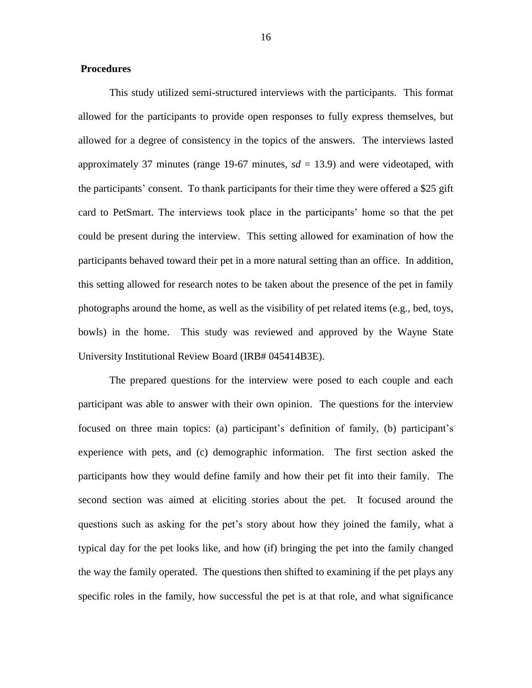## **Procedures**

This study utilized semi-structured interviews with the participants. This format allowed for the participants to provide open responses to fully express themselves, but allowed for a degree of consistency in the topics of the answers. The interviews lasted approximately 37 minutes (range 19-67 minutes,  $sd = 13.9$ ) and were videotaped, with the participants' consent. To thank participants for their time they were offered a \$25 gift card to PetSmart. The interviews took place in the participants' home so that the pet could be present during the interview. This setting allowed for examination of how the participants behaved toward their pet in a more natural setting than an office. In addition, this setting allowed for research notes to be taken about the presence of the pet in family photographs around the home, as well as the visibility of pet related items (e.g., bed, toys, bowls) in the home. This study was reviewed and approved by the Wayne State University Institutional Review Board (IRB# 045414B3E).

The prepared questions for the interview were posed to each couple and each participant was able to answer with their own opinion. The questions for the interview focused on three main topics: (a) participant's definition of family, (b) participant's experience with pets, and (c) demographic information. The first section asked the participants how they would define family and how their pet fit into their family. The second section was aimed at eliciting stories about the pet. It focused around the questions such as asking for the pet's story about how they joined the family, what a typical day for the pet looks like, and how (if) bringing the pet into the family changed the way the family operated. The questions then shifted to examining if the pet plays any specific roles in the family, how successful the pet is at that role, and what significance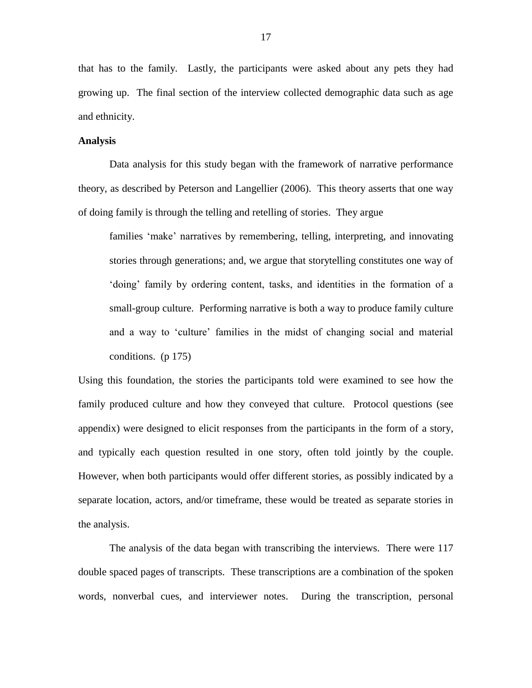that has to the family. Lastly, the participants were asked about any pets they had growing up. The final section of the interview collected demographic data such as age and ethnicity.

## **Analysis**

Data analysis for this study began with the framework of narrative performance theory, as described by Peterson and Langellier (2006). This theory asserts that one way of doing family is through the telling and retelling of stories. They argue

families 'make' narratives by remembering, telling, interpreting, and innovating stories through generations; and, we argue that storytelling constitutes one way of 'doing' family by ordering content, tasks, and identities in the formation of a small-group culture. Performing narrative is both a way to produce family culture and a way to 'culture' families in the midst of changing social and material conditions. (p 175)

Using this foundation, the stories the participants told were examined to see how the family produced culture and how they conveyed that culture. Protocol questions (see appendix) were designed to elicit responses from the participants in the form of a story, and typically each question resulted in one story, often told jointly by the couple. However, when both participants would offer different stories, as possibly indicated by a separate location, actors, and/or timeframe, these would be treated as separate stories in the analysis.

The analysis of the data began with transcribing the interviews. There were 117 double spaced pages of transcripts. These transcriptions are a combination of the spoken words, nonverbal cues, and interviewer notes. During the transcription, personal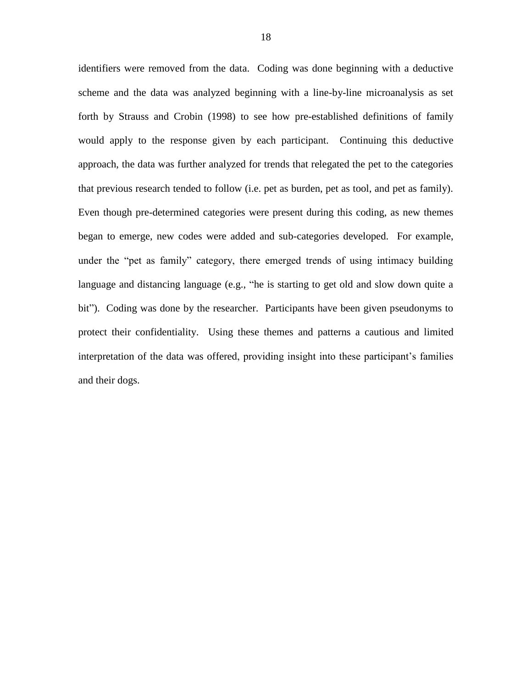identifiers were removed from the data. Coding was done beginning with a deductive scheme and the data was analyzed beginning with a line-by-line microanalysis as set forth by Strauss and Crobin (1998) to see how pre-established definitions of family would apply to the response given by each participant. Continuing this deductive approach, the data was further analyzed for trends that relegated the pet to the categories that previous research tended to follow (i.e. pet as burden, pet as tool, and pet as family). Even though pre-determined categories were present during this coding, as new themes began to emerge, new codes were added and sub-categories developed. For example, under the "pet as family" category, there emerged trends of using intimacy building language and distancing language (e.g., "he is starting to get old and slow down quite a bit"). Coding was done by the researcher. Participants have been given pseudonyms to protect their confidentiality. Using these themes and patterns a cautious and limited interpretation of the data was offered, providing insight into these participant's families and their dogs.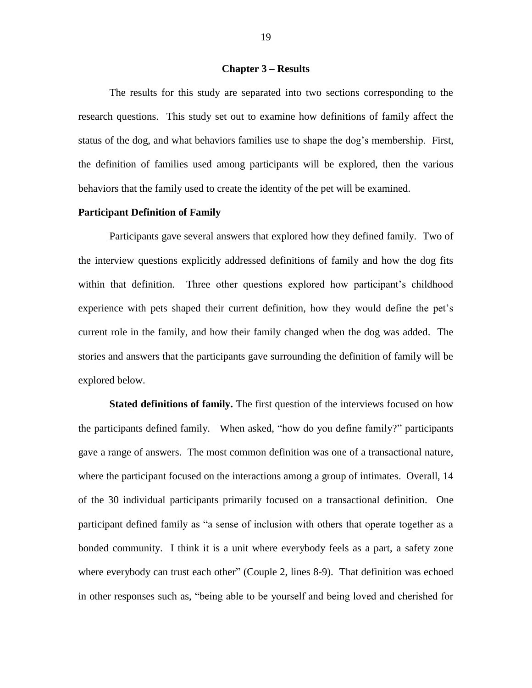#### **Chapter 3 – Results**

The results for this study are separated into two sections corresponding to the research questions. This study set out to examine how definitions of family affect the status of the dog, and what behaviors families use to shape the dog's membership. First, the definition of families used among participants will be explored, then the various behaviors that the family used to create the identity of the pet will be examined.

# **Participant Definition of Family**

Participants gave several answers that explored how they defined family. Two of the interview questions explicitly addressed definitions of family and how the dog fits within that definition. Three other questions explored how participant's childhood experience with pets shaped their current definition, how they would define the pet's current role in the family, and how their family changed when the dog was added. The stories and answers that the participants gave surrounding the definition of family will be explored below.

**Stated definitions of family.** The first question of the interviews focused on how the participants defined family. When asked, "how do you define family?" participants gave a range of answers. The most common definition was one of a transactional nature, where the participant focused on the interactions among a group of intimates. Overall, 14 of the 30 individual participants primarily focused on a transactional definition. One participant defined family as "a sense of inclusion with others that operate together as a bonded community. I think it is a unit where everybody feels as a part, a safety zone where everybody can trust each other" (Couple 2, lines 8-9). That definition was echoed in other responses such as, "being able to be yourself and being loved and cherished for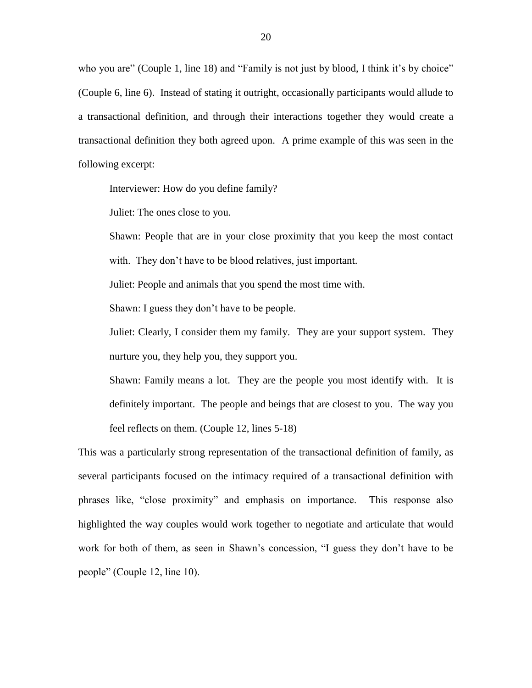who you are" (Couple 1, line 18) and "Family is not just by blood, I think it's by choice" (Couple 6, line 6). Instead of stating it outright, occasionally participants would allude to a transactional definition, and through their interactions together they would create a transactional definition they both agreed upon. A prime example of this was seen in the following excerpt:

Interviewer: How do you define family?

Juliet: The ones close to you.

Shawn: People that are in your close proximity that you keep the most contact with. They don't have to be blood relatives, just important.

Juliet: People and animals that you spend the most time with.

Shawn: I guess they don't have to be people.

Juliet: Clearly, I consider them my family. They are your support system. They nurture you, they help you, they support you.

Shawn: Family means a lot. They are the people you most identify with. It is definitely important. The people and beings that are closest to you. The way you feel reflects on them. (Couple 12, lines 5-18)

This was a particularly strong representation of the transactional definition of family, as several participants focused on the intimacy required of a transactional definition with phrases like, "close proximity" and emphasis on importance. This response also highlighted the way couples would work together to negotiate and articulate that would work for both of them, as seen in Shawn's concession, "I guess they don't have to be people" (Couple 12, line 10).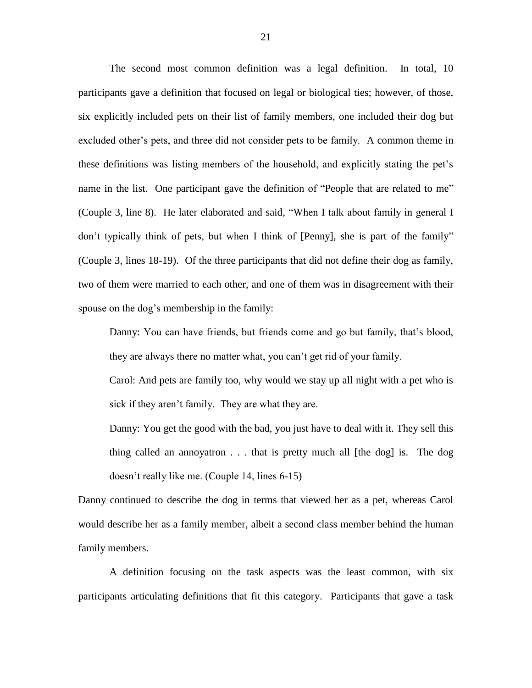The second most common definition was a legal definition. In total, 10 participants gave a definition that focused on legal or biological ties; however, of those, six explicitly included pets on their list of family members, one included their dog but excluded other's pets, and three did not consider pets to be family. A common theme in these definitions was listing members of the household, and explicitly stating the pet's name in the list. One participant gave the definition of "People that are related to me" (Couple 3, line 8). He later elaborated and said, "When I talk about family in general I don't typically think of pets, but when I think of [Penny], she is part of the family" (Couple 3, lines 18-19). Of the three participants that did not define their dog as family, two of them were married to each other, and one of them was in disagreement with their spouse on the dog's membership in the family:

Danny: You can have friends, but friends come and go but family, that's blood, they are always there no matter what, you can't get rid of your family.

Carol: And pets are family too, why would we stay up all night with a pet who is sick if they aren't family. They are what they are.

Danny: You get the good with the bad, you just have to deal with it. They sell this thing called an annoyatron . . . that is pretty much all [the dog] is. The dog doesn't really like me. (Couple 14, lines 6-15)

Danny continued to describe the dog in terms that viewed her as a pet, whereas Carol would describe her as a family member, albeit a second class member behind the human family members.

A definition focusing on the task aspects was the least common, with six participants articulating definitions that fit this category. Participants that gave a task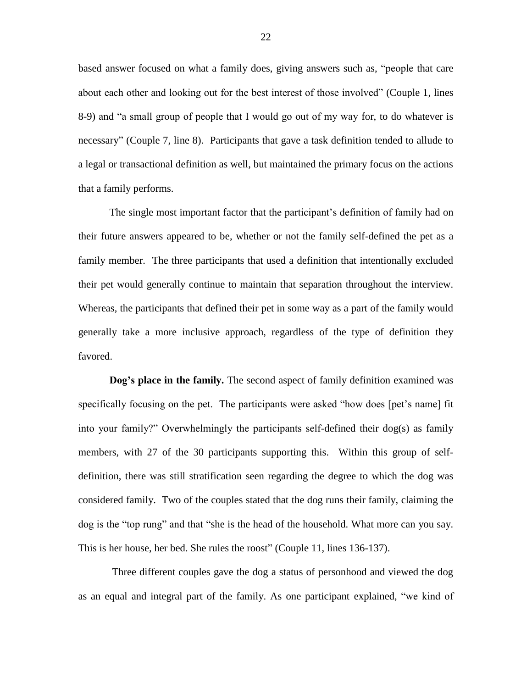based answer focused on what a family does, giving answers such as, "people that care about each other and looking out for the best interest of those involved" (Couple 1, lines 8-9) and "a small group of people that I would go out of my way for, to do whatever is necessary" (Couple 7, line 8). Participants that gave a task definition tended to allude to a legal or transactional definition as well, but maintained the primary focus on the actions that a family performs.

The single most important factor that the participant's definition of family had on their future answers appeared to be, whether or not the family self-defined the pet as a family member. The three participants that used a definition that intentionally excluded their pet would generally continue to maintain that separation throughout the interview. Whereas, the participants that defined their pet in some way as a part of the family would generally take a more inclusive approach, regardless of the type of definition they favored.

**Dog's place in the family.** The second aspect of family definition examined was specifically focusing on the pet. The participants were asked "how does [pet's name] fit into your family?" Overwhelmingly the participants self-defined their dog(s) as family members, with 27 of the 30 participants supporting this. Within this group of selfdefinition, there was still stratification seen regarding the degree to which the dog was considered family. Two of the couples stated that the dog runs their family, claiming the dog is the "top rung" and that "she is the head of the household. What more can you say. This is her house, her bed. She rules the roost" (Couple 11, lines 136-137).

Three different couples gave the dog a status of personhood and viewed the dog as an equal and integral part of the family. As one participant explained, "we kind of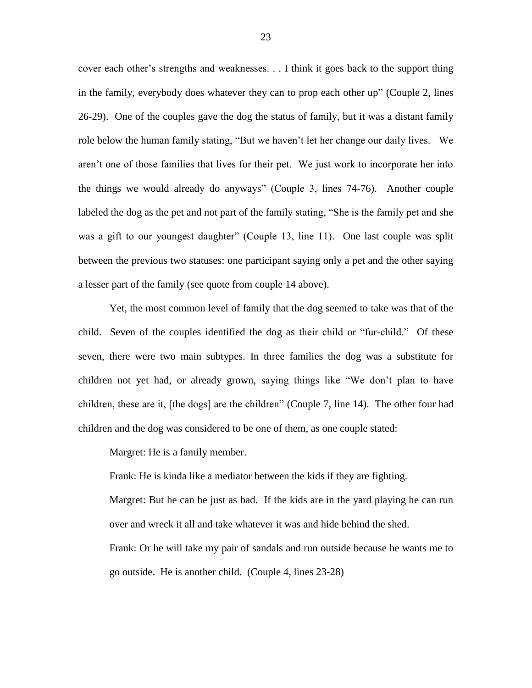cover each other's strengths and weaknesses. . . I think it goes back to the support thing in the family, everybody does whatever they can to prop each other up" (Couple 2, lines 26-29). One of the couples gave the dog the status of family, but it was a distant family role below the human family stating, "But we haven't let her change our daily lives. We aren't one of those families that lives for their pet. We just work to incorporate her into the things we would already do anyways" (Couple 3, lines 74-76). Another couple labeled the dog as the pet and not part of the family stating, "She is the family pet and she was a gift to our youngest daughter" (Couple 13, line 11). One last couple was split between the previous two statuses: one participant saying only a pet and the other saying a lesser part of the family (see quote from couple 14 above).

Yet, the most common level of family that the dog seemed to take was that of the child. Seven of the couples identified the dog as their child or "fur-child." Of these seven, there were two main subtypes. In three families the dog was a substitute for children not yet had, or already grown, saying things like "We don't plan to have children, these are it, [the dogs] are the children" (Couple 7, line 14). The other four had children and the dog was considered to be one of them, as one couple stated:

Margret: He is a family member.

Frank: He is kinda like a mediator between the kids if they are fighting.

Margret: But he can be just as bad. If the kids are in the yard playing he can run over and wreck it all and take whatever it was and hide behind the shed.

Frank: Or he will take my pair of sandals and run outside because he wants me to go outside. He is another child. (Couple 4, lines 23-28)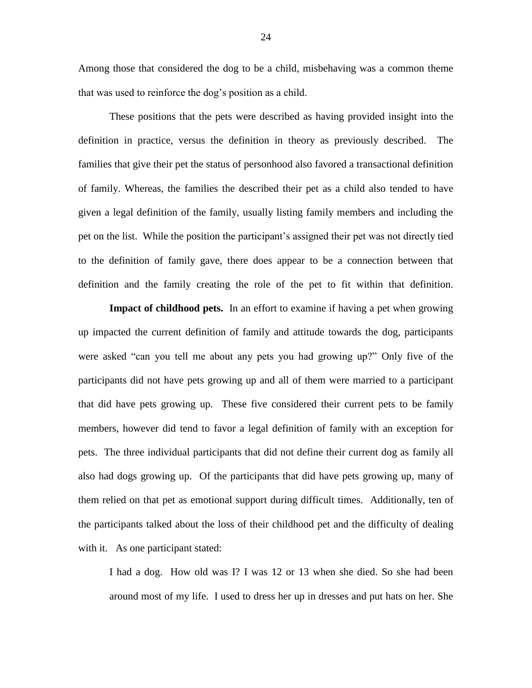Among those that considered the dog to be a child, misbehaving was a common theme that was used to reinforce the dog's position as a child.

These positions that the pets were described as having provided insight into the definition in practice, versus the definition in theory as previously described. The families that give their pet the status of personhood also favored a transactional definition of family. Whereas, the families the described their pet as a child also tended to have given a legal definition of the family, usually listing family members and including the pet on the list. While the position the participant's assigned their pet was not directly tied to the definition of family gave, there does appear to be a connection between that definition and the family creating the role of the pet to fit within that definition.

**Impact of childhood pets.** In an effort to examine if having a pet when growing up impacted the current definition of family and attitude towards the dog, participants were asked "can you tell me about any pets you had growing up?" Only five of the participants did not have pets growing up and all of them were married to a participant that did have pets growing up. These five considered their current pets to be family members, however did tend to favor a legal definition of family with an exception for pets. The three individual participants that did not define their current dog as family all also had dogs growing up. Of the participants that did have pets growing up, many of them relied on that pet as emotional support during difficult times. Additionally, ten of the participants talked about the loss of their childhood pet and the difficulty of dealing with it. As one participant stated:

I had a dog. How old was I? I was 12 or 13 when she died. So she had been around most of my life. I used to dress her up in dresses and put hats on her. She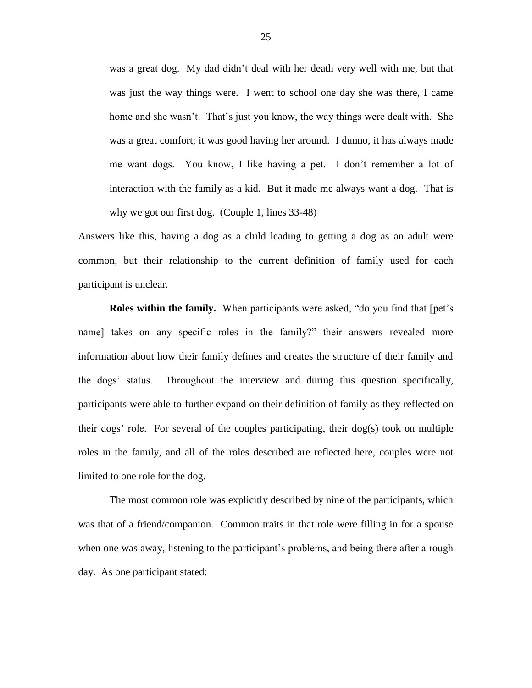was a great dog. My dad didn't deal with her death very well with me, but that was just the way things were. I went to school one day she was there, I came home and she wasn't. That's just you know, the way things were dealt with. She was a great comfort; it was good having her around. I dunno, it has always made me want dogs. You know, I like having a pet. I don't remember a lot of interaction with the family as a kid. But it made me always want a dog. That is why we got our first dog. (Couple 1, lines 33-48)

Answers like this, having a dog as a child leading to getting a dog as an adult were common, but their relationship to the current definition of family used for each participant is unclear.

**Roles within the family.** When participants were asked, "do you find that [pet's name] takes on any specific roles in the family?" their answers revealed more information about how their family defines and creates the structure of their family and the dogs' status. Throughout the interview and during this question specifically, participants were able to further expand on their definition of family as they reflected on their dogs' role. For several of the couples participating, their dog(s) took on multiple roles in the family, and all of the roles described are reflected here, couples were not limited to one role for the dog.

The most common role was explicitly described by nine of the participants, which was that of a friend/companion. Common traits in that role were filling in for a spouse when one was away, listening to the participant's problems, and being there after a rough day. As one participant stated: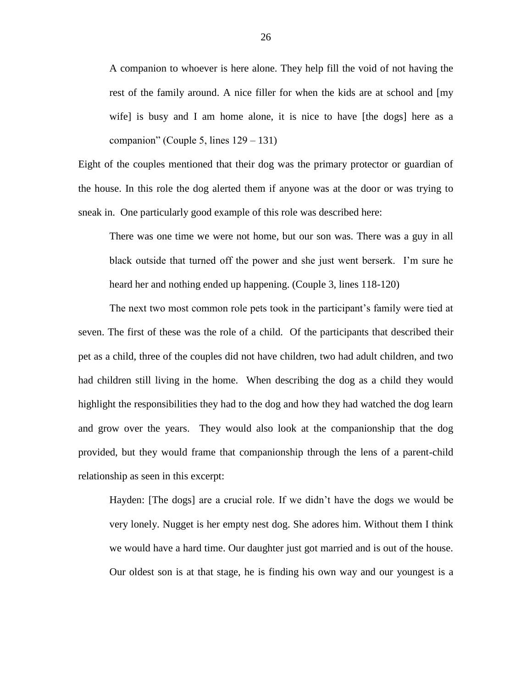A companion to whoever is here alone. They help fill the void of not having the rest of the family around. A nice filler for when the kids are at school and [my wife] is busy and I am home alone, it is nice to have [the dogs] here as a companion" (Couple 5, lines 129 – 131)

Eight of the couples mentioned that their dog was the primary protector or guardian of the house. In this role the dog alerted them if anyone was at the door or was trying to sneak in. One particularly good example of this role was described here:

There was one time we were not home, but our son was. There was a guy in all black outside that turned off the power and she just went berserk. I'm sure he heard her and nothing ended up happening. (Couple 3, lines 118-120)

The next two most common role pets took in the participant's family were tied at seven. The first of these was the role of a child. Of the participants that described their pet as a child, three of the couples did not have children, two had adult children, and two had children still living in the home. When describing the dog as a child they would highlight the responsibilities they had to the dog and how they had watched the dog learn and grow over the years. They would also look at the companionship that the dog provided, but they would frame that companionship through the lens of a parent-child relationship as seen in this excerpt:

Hayden: [The dogs] are a crucial role. If we didn't have the dogs we would be very lonely. Nugget is her empty nest dog. She adores him. Without them I think we would have a hard time. Our daughter just got married and is out of the house. Our oldest son is at that stage, he is finding his own way and our youngest is a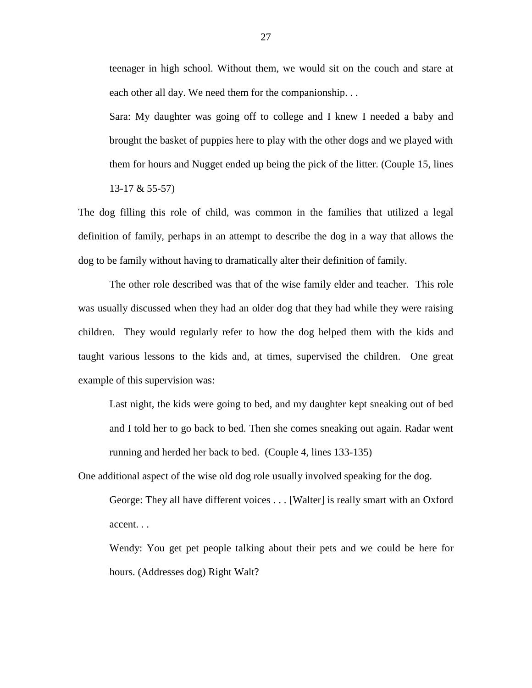teenager in high school. Without them, we would sit on the couch and stare at each other all day. We need them for the companionship. . .

Sara: My daughter was going off to college and I knew I needed a baby and brought the basket of puppies here to play with the other dogs and we played with them for hours and Nugget ended up being the pick of the litter. (Couple 15, lines 13-17 & 55-57)

The dog filling this role of child, was common in the families that utilized a legal definition of family, perhaps in an attempt to describe the dog in a way that allows the dog to be family without having to dramatically alter their definition of family.

The other role described was that of the wise family elder and teacher. This role was usually discussed when they had an older dog that they had while they were raising children. They would regularly refer to how the dog helped them with the kids and taught various lessons to the kids and, at times, supervised the children. One great example of this supervision was:

Last night, the kids were going to bed, and my daughter kept sneaking out of bed and I told her to go back to bed. Then she comes sneaking out again. Radar went running and herded her back to bed. (Couple 4, lines 133-135)

One additional aspect of the wise old dog role usually involved speaking for the dog. George: They all have different voices . . . [Walter] is really smart with an Oxford accent. . .

Wendy: You get pet people talking about their pets and we could be here for hours. (Addresses dog) Right Walt?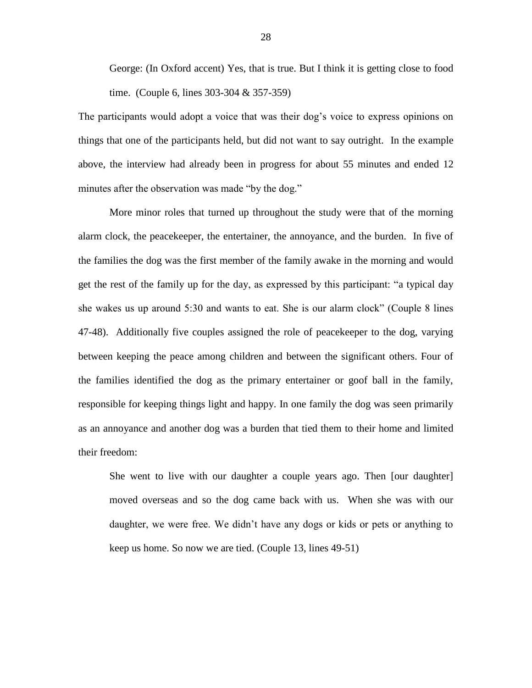George: (In Oxford accent) Yes, that is true. But I think it is getting close to food time. (Couple 6, lines 303-304 & 357-359)

The participants would adopt a voice that was their dog's voice to express opinions on things that one of the participants held, but did not want to say outright. In the example above, the interview had already been in progress for about 55 minutes and ended 12 minutes after the observation was made "by the dog."

More minor roles that turned up throughout the study were that of the morning alarm clock, the peacekeeper, the entertainer, the annoyance, and the burden. In five of the families the dog was the first member of the family awake in the morning and would get the rest of the family up for the day, as expressed by this participant: "a typical day she wakes us up around 5:30 and wants to eat. She is our alarm clock" (Couple 8 lines 47-48). Additionally five couples assigned the role of peacekeeper to the dog, varying between keeping the peace among children and between the significant others. Four of the families identified the dog as the primary entertainer or goof ball in the family, responsible for keeping things light and happy. In one family the dog was seen primarily as an annoyance and another dog was a burden that tied them to their home and limited their freedom:

She went to live with our daughter a couple years ago. Then [our daughter] moved overseas and so the dog came back with us. When she was with our daughter, we were free. We didn't have any dogs or kids or pets or anything to keep us home. So now we are tied. (Couple 13, lines 49-51)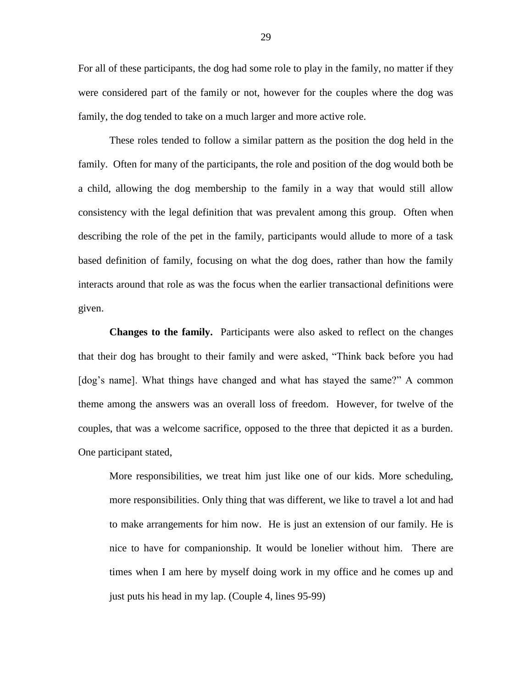For all of these participants, the dog had some role to play in the family, no matter if they were considered part of the family or not, however for the couples where the dog was family, the dog tended to take on a much larger and more active role.

These roles tended to follow a similar pattern as the position the dog held in the family. Often for many of the participants, the role and position of the dog would both be a child, allowing the dog membership to the family in a way that would still allow consistency with the legal definition that was prevalent among this group. Often when describing the role of the pet in the family, participants would allude to more of a task based definition of family, focusing on what the dog does, rather than how the family interacts around that role as was the focus when the earlier transactional definitions were given.

**Changes to the family.** Participants were also asked to reflect on the changes that their dog has brought to their family and were asked, "Think back before you had [dog's name]. What things have changed and what has stayed the same?" A common theme among the answers was an overall loss of freedom. However, for twelve of the couples, that was a welcome sacrifice, opposed to the three that depicted it as a burden. One participant stated,

More responsibilities, we treat him just like one of our kids. More scheduling, more responsibilities. Only thing that was different, we like to travel a lot and had to make arrangements for him now. He is just an extension of our family. He is nice to have for companionship. It would be lonelier without him. There are times when I am here by myself doing work in my office and he comes up and just puts his head in my lap. (Couple 4, lines 95-99)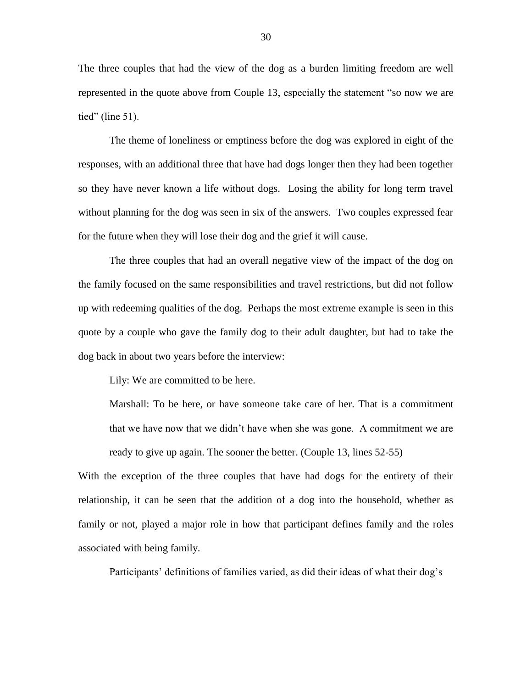The three couples that had the view of the dog as a burden limiting freedom are well represented in the quote above from Couple 13, especially the statement "so now we are tied" (line 51).

The theme of loneliness or emptiness before the dog was explored in eight of the responses, with an additional three that have had dogs longer then they had been together so they have never known a life without dogs. Losing the ability for long term travel without planning for the dog was seen in six of the answers. Two couples expressed fear for the future when they will lose their dog and the grief it will cause.

The three couples that had an overall negative view of the impact of the dog on the family focused on the same responsibilities and travel restrictions, but did not follow up with redeeming qualities of the dog. Perhaps the most extreme example is seen in this quote by a couple who gave the family dog to their adult daughter, but had to take the dog back in about two years before the interview:

Lily: We are committed to be here.

Marshall: To be here, or have someone take care of her. That is a commitment that we have now that we didn't have when she was gone. A commitment we are ready to give up again. The sooner the better. (Couple 13, lines 52-55)

With the exception of the three couples that have had dogs for the entirety of their relationship, it can be seen that the addition of a dog into the household, whether as family or not, played a major role in how that participant defines family and the roles associated with being family.

Participants' definitions of families varied, as did their ideas of what their dog's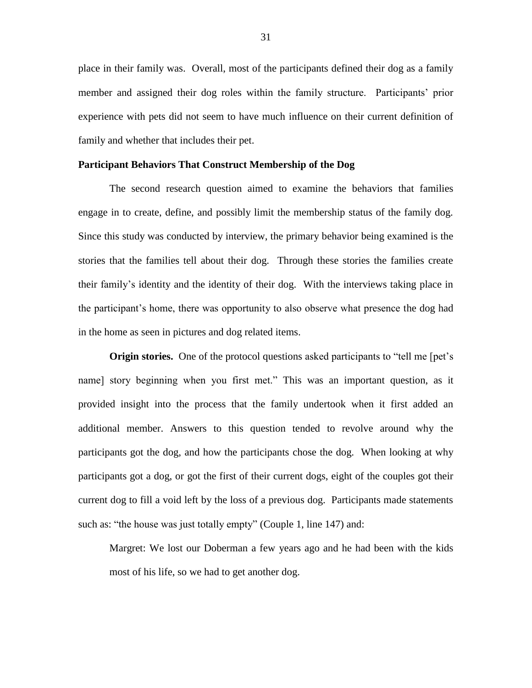place in their family was. Overall, most of the participants defined their dog as a family member and assigned their dog roles within the family structure. Participants' prior experience with pets did not seem to have much influence on their current definition of family and whether that includes their pet.

#### **Participant Behaviors That Construct Membership of the Dog**

The second research question aimed to examine the behaviors that families engage in to create, define, and possibly limit the membership status of the family dog. Since this study was conducted by interview, the primary behavior being examined is the stories that the families tell about their dog. Through these stories the families create their family's identity and the identity of their dog. With the interviews taking place in the participant's home, there was opportunity to also observe what presence the dog had in the home as seen in pictures and dog related items.

**Origin stories.** One of the protocol questions asked participants to "tell me [pet's name] story beginning when you first met." This was an important question, as it provided insight into the process that the family undertook when it first added an additional member. Answers to this question tended to revolve around why the participants got the dog, and how the participants chose the dog. When looking at why participants got a dog, or got the first of their current dogs, eight of the couples got their current dog to fill a void left by the loss of a previous dog. Participants made statements such as: "the house was just totally empty" (Couple 1, line 147) and:

Margret: We lost our Doberman a few years ago and he had been with the kids most of his life, so we had to get another dog.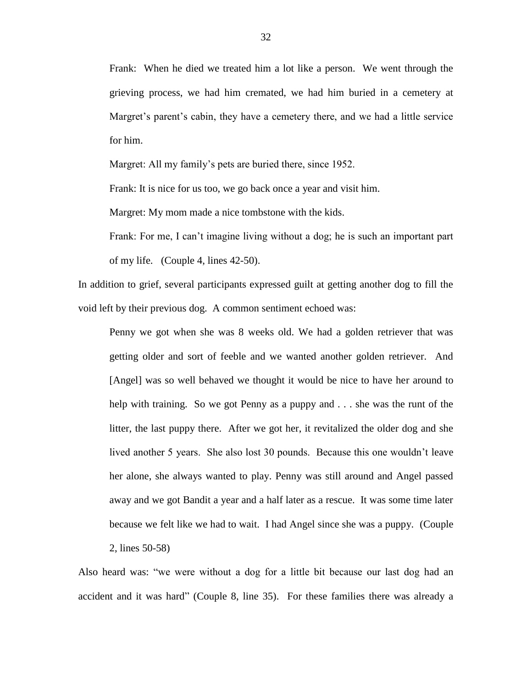Frank: When he died we treated him a lot like a person. We went through the grieving process, we had him cremated, we had him buried in a cemetery at Margret's parent's cabin, they have a cemetery there, and we had a little service for him.

Margret: All my family's pets are buried there, since 1952.

Frank: It is nice for us too, we go back once a year and visit him.

Margret: My mom made a nice tombstone with the kids.

Frank: For me, I can't imagine living without a dog; he is such an important part of my life. (Couple 4, lines 42-50).

In addition to grief, several participants expressed guilt at getting another dog to fill the void left by their previous dog. A common sentiment echoed was:

Penny we got when she was 8 weeks old. We had a golden retriever that was getting older and sort of feeble and we wanted another golden retriever. And [Angel] was so well behaved we thought it would be nice to have her around to help with training. So we got Penny as a puppy and . . . she was the runt of the litter, the last puppy there. After we got her, it revitalized the older dog and she lived another 5 years. She also lost 30 pounds. Because this one wouldn't leave her alone, she always wanted to play. Penny was still around and Angel passed away and we got Bandit a year and a half later as a rescue. It was some time later because we felt like we had to wait. I had Angel since she was a puppy. (Couple 2, lines 50-58)

Also heard was: "we were without a dog for a little bit because our last dog had an accident and it was hard" (Couple 8, line 35). For these families there was already a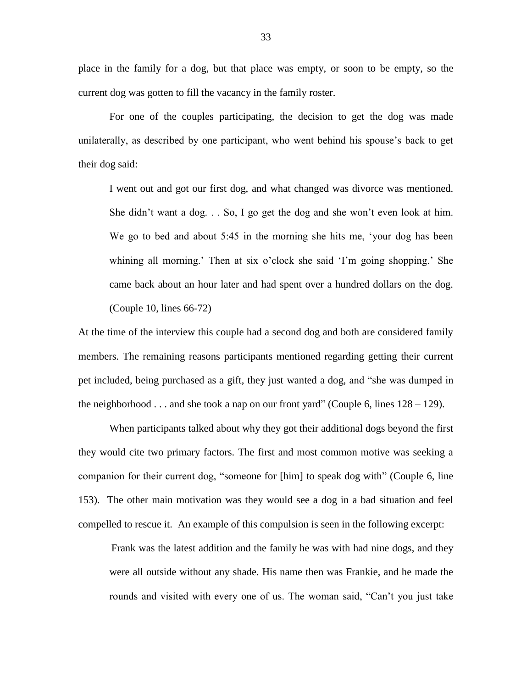place in the family for a dog, but that place was empty, or soon to be empty, so the current dog was gotten to fill the vacancy in the family roster.

For one of the couples participating, the decision to get the dog was made unilaterally, as described by one participant, who went behind his spouse's back to get their dog said:

I went out and got our first dog, and what changed was divorce was mentioned. She didn't want a dog. . . So, I go get the dog and she won't even look at him. We go to bed and about 5:45 in the morning she hits me, 'your dog has been whining all morning.' Then at six o'clock she said 'I'm going shopping.' She came back about an hour later and had spent over a hundred dollars on the dog. (Couple 10, lines 66-72)

At the time of the interview this couple had a second dog and both are considered family members. The remaining reasons participants mentioned regarding getting their current pet included, being purchased as a gift, they just wanted a dog, and "she was dumped in the neighborhood  $\ldots$  and she took a nap on our front yard" (Couple 6, lines  $128 - 129$ ).

When participants talked about why they got their additional dogs beyond the first they would cite two primary factors. The first and most common motive was seeking a companion for their current dog, "someone for [him] to speak dog with" (Couple 6, line 153). The other main motivation was they would see a dog in a bad situation and feel compelled to rescue it. An example of this compulsion is seen in the following excerpt:

Frank was the latest addition and the family he was with had nine dogs, and they were all outside without any shade. His name then was Frankie, and he made the rounds and visited with every one of us. The woman said, "Can't you just take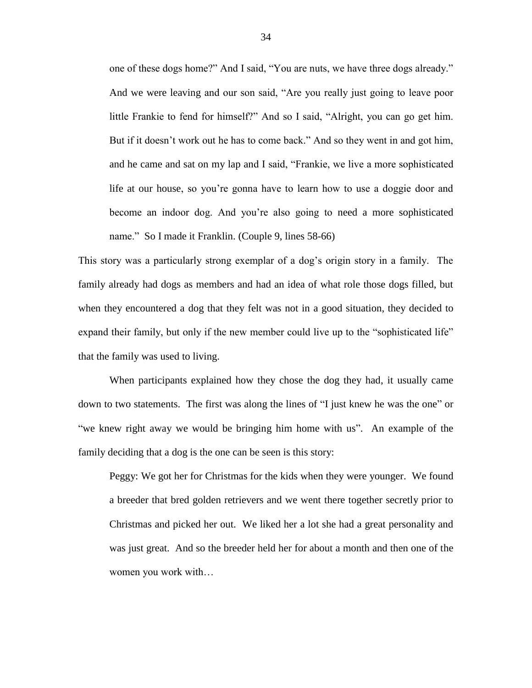one of these dogs home?" And I said, "You are nuts, we have three dogs already." And we were leaving and our son said, "Are you really just going to leave poor little Frankie to fend for himself?" And so I said, "Alright, you can go get him. But if it doesn't work out he has to come back." And so they went in and got him, and he came and sat on my lap and I said, "Frankie, we live a more sophisticated life at our house, so you're gonna have to learn how to use a doggie door and become an indoor dog. And you're also going to need a more sophisticated name." So I made it Franklin. (Couple 9, lines 58-66)

This story was a particularly strong exemplar of a dog's origin story in a family. The family already had dogs as members and had an idea of what role those dogs filled, but when they encountered a dog that they felt was not in a good situation, they decided to expand their family, but only if the new member could live up to the "sophisticated life" that the family was used to living.

When participants explained how they chose the dog they had, it usually came down to two statements. The first was along the lines of "I just knew he was the one" or "we knew right away we would be bringing him home with us". An example of the family deciding that a dog is the one can be seen is this story:

Peggy: We got her for Christmas for the kids when they were younger. We found a breeder that bred golden retrievers and we went there together secretly prior to Christmas and picked her out. We liked her a lot she had a great personality and was just great. And so the breeder held her for about a month and then one of the women you work with…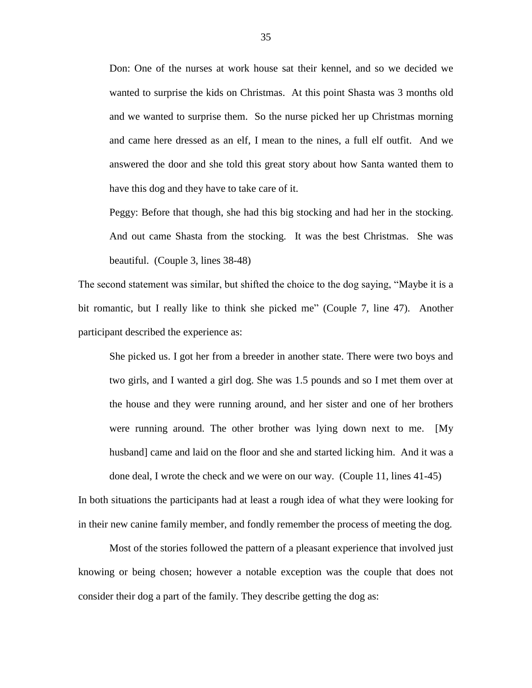Don: One of the nurses at work house sat their kennel, and so we decided we wanted to surprise the kids on Christmas. At this point Shasta was 3 months old and we wanted to surprise them. So the nurse picked her up Christmas morning and came here dressed as an elf, I mean to the nines, a full elf outfit. And we answered the door and she told this great story about how Santa wanted them to have this dog and they have to take care of it.

Peggy: Before that though, she had this big stocking and had her in the stocking. And out came Shasta from the stocking. It was the best Christmas. She was beautiful. (Couple 3, lines 38-48)

The second statement was similar, but shifted the choice to the dog saying, "Maybe it is a bit romantic, but I really like to think she picked me" (Couple 7, line 47). Another participant described the experience as:

She picked us. I got her from a breeder in another state. There were two boys and two girls, and I wanted a girl dog. She was 1.5 pounds and so I met them over at the house and they were running around, and her sister and one of her brothers were running around. The other brother was lying down next to me. [My husband] came and laid on the floor and she and started licking him. And it was a done deal, I wrote the check and we were on our way. (Couple 11, lines 41-45)

In both situations the participants had at least a rough idea of what they were looking for in their new canine family member, and fondly remember the process of meeting the dog.

Most of the stories followed the pattern of a pleasant experience that involved just knowing or being chosen; however a notable exception was the couple that does not consider their dog a part of the family. They describe getting the dog as: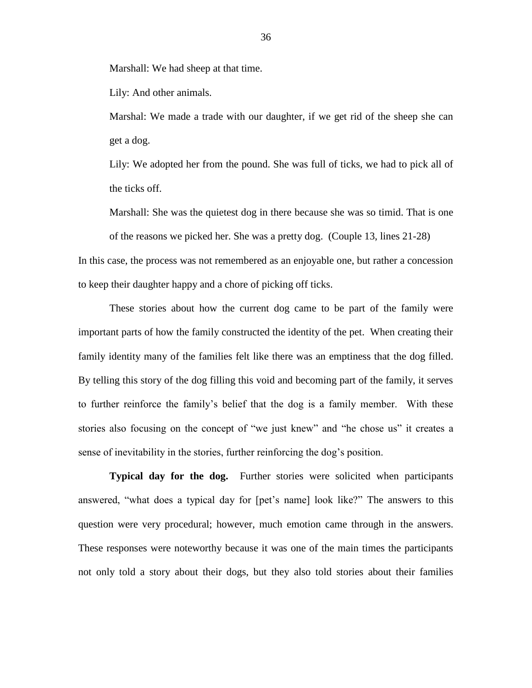Marshall: We had sheep at that time.

Lily: And other animals.

Marshal: We made a trade with our daughter, if we get rid of the sheep she can get a dog.

Lily: We adopted her from the pound. She was full of ticks, we had to pick all of the ticks off.

Marshall: She was the quietest dog in there because she was so timid. That is one of the reasons we picked her. She was a pretty dog. (Couple 13, lines 21-28)

In this case, the process was not remembered as an enjoyable one, but rather a concession to keep their daughter happy and a chore of picking off ticks.

These stories about how the current dog came to be part of the family were important parts of how the family constructed the identity of the pet. When creating their family identity many of the families felt like there was an emptiness that the dog filled. By telling this story of the dog filling this void and becoming part of the family, it serves to further reinforce the family's belief that the dog is a family member. With these stories also focusing on the concept of "we just knew" and "he chose us" it creates a sense of inevitability in the stories, further reinforcing the dog's position.

**Typical day for the dog.** Further stories were solicited when participants answered, "what does a typical day for [pet's name] look like?" The answers to this question were very procedural; however, much emotion came through in the answers. These responses were noteworthy because it was one of the main times the participants not only told a story about their dogs, but they also told stories about their families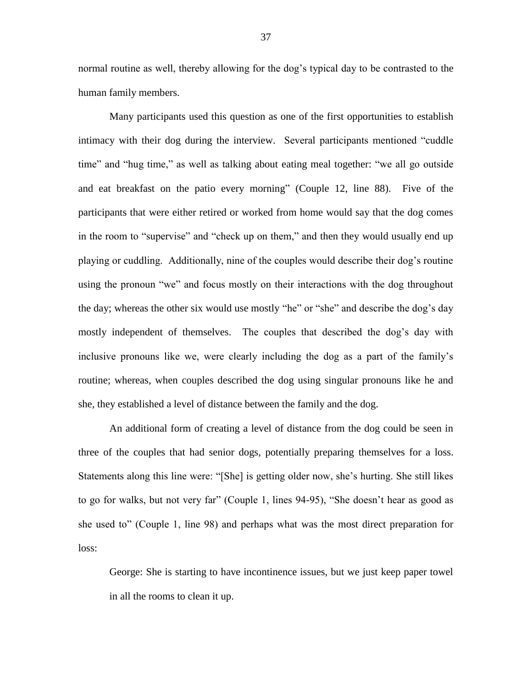normal routine as well, thereby allowing for the dog's typical day to be contrasted to the human family members.

Many participants used this question as one of the first opportunities to establish intimacy with their dog during the interview. Several participants mentioned "cuddle time" and "hug time," as well as talking about eating meal together: "we all go outside and eat breakfast on the patio every morning" (Couple 12, line 88). Five of the participants that were either retired or worked from home would say that the dog comes in the room to "supervise" and "check up on them," and then they would usually end up playing or cuddling. Additionally, nine of the couples would describe their dog's routine using the pronoun "we" and focus mostly on their interactions with the dog throughout the day; whereas the other six would use mostly "he" or "she" and describe the dog's day mostly independent of themselves. The couples that described the dog's day with inclusive pronouns like we, were clearly including the dog as a part of the family's routine; whereas, when couples described the dog using singular pronouns like he and she, they established a level of distance between the family and the dog.

An additional form of creating a level of distance from the dog could be seen in three of the couples that had senior dogs, potentially preparing themselves for a loss. Statements along this line were: "[She] is getting older now, she's hurting. She still likes to go for walks, but not very far" (Couple 1, lines 94-95), "She doesn't hear as good as she used to" (Couple 1, line 98) and perhaps what was the most direct preparation for loss:

George: She is starting to have incontinence issues, but we just keep paper towel in all the rooms to clean it up.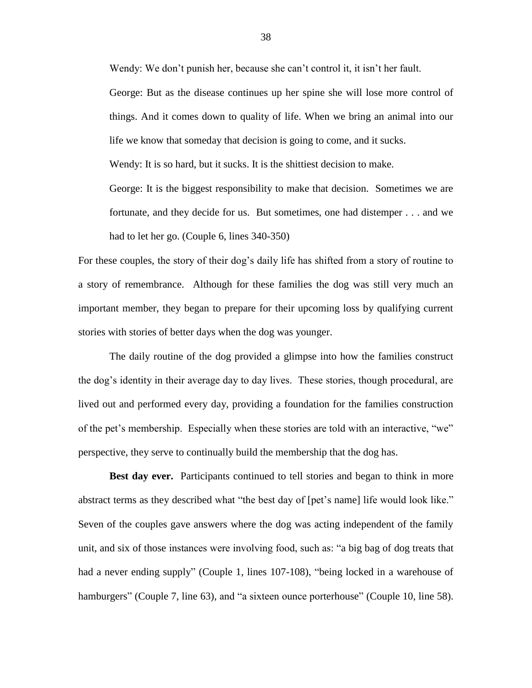Wendy: We don't punish her, because she can't control it, it isn't her fault.

George: But as the disease continues up her spine she will lose more control of things. And it comes down to quality of life. When we bring an animal into our life we know that someday that decision is going to come, and it sucks.

Wendy: It is so hard, but it sucks. It is the shittiest decision to make.

George: It is the biggest responsibility to make that decision. Sometimes we are fortunate, and they decide for us. But sometimes, one had distemper . . . and we had to let her go. (Couple 6, lines 340-350)

For these couples, the story of their dog's daily life has shifted from a story of routine to a story of remembrance. Although for these families the dog was still very much an important member, they began to prepare for their upcoming loss by qualifying current stories with stories of better days when the dog was younger.

The daily routine of the dog provided a glimpse into how the families construct the dog's identity in their average day to day lives. These stories, though procedural, are lived out and performed every day, providing a foundation for the families construction of the pet's membership. Especially when these stories are told with an interactive, "we" perspective, they serve to continually build the membership that the dog has.

**Best day ever.** Participants continued to tell stories and began to think in more abstract terms as they described what "the best day of [pet's name] life would look like." Seven of the couples gave answers where the dog was acting independent of the family unit, and six of those instances were involving food, such as: "a big bag of dog treats that had a never ending supply" (Couple 1, lines 107-108), "being locked in a warehouse of hamburgers" (Couple 7, line 63), and "a sixteen ounce porterhouse" (Couple 10, line 58).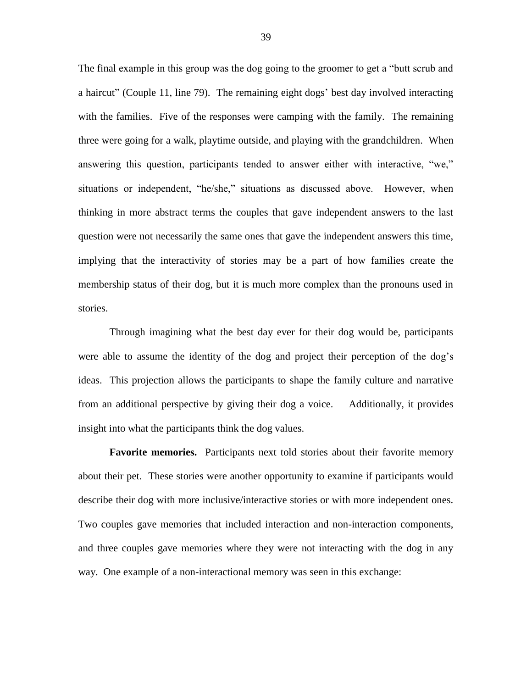The final example in this group was the dog going to the groomer to get a "butt scrub and a haircut" (Couple 11, line 79). The remaining eight dogs' best day involved interacting with the families. Five of the responses were camping with the family. The remaining three were going for a walk, playtime outside, and playing with the grandchildren. When answering this question, participants tended to answer either with interactive, "we," situations or independent, "he/she," situations as discussed above. However, when thinking in more abstract terms the couples that gave independent answers to the last question were not necessarily the same ones that gave the independent answers this time, implying that the interactivity of stories may be a part of how families create the membership status of their dog, but it is much more complex than the pronouns used in stories.

Through imagining what the best day ever for their dog would be, participants were able to assume the identity of the dog and project their perception of the dog's ideas. This projection allows the participants to shape the family culture and narrative from an additional perspective by giving their dog a voice. Additionally, it provides insight into what the participants think the dog values.

**Favorite memories.** Participants next told stories about their favorite memory about their pet. These stories were another opportunity to examine if participants would describe their dog with more inclusive/interactive stories or with more independent ones. Two couples gave memories that included interaction and non-interaction components, and three couples gave memories where they were not interacting with the dog in any way. One example of a non-interactional memory was seen in this exchange: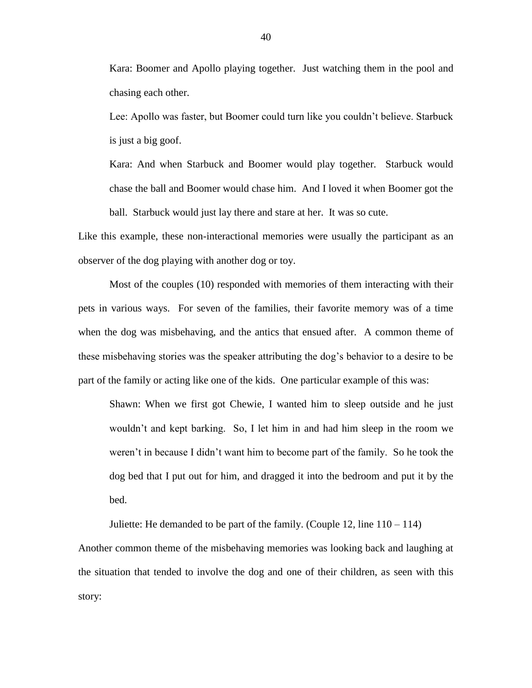Kara: Boomer and Apollo playing together. Just watching them in the pool and chasing each other.

Lee: Apollo was faster, but Boomer could turn like you couldn't believe. Starbuck is just a big goof.

Kara: And when Starbuck and Boomer would play together. Starbuck would chase the ball and Boomer would chase him. And I loved it when Boomer got the ball. Starbuck would just lay there and stare at her. It was so cute.

Like this example, these non-interactional memories were usually the participant as an observer of the dog playing with another dog or toy.

Most of the couples (10) responded with memories of them interacting with their pets in various ways. For seven of the families, their favorite memory was of a time when the dog was misbehaving, and the antics that ensued after. A common theme of these misbehaving stories was the speaker attributing the dog's behavior to a desire to be part of the family or acting like one of the kids. One particular example of this was:

Shawn: When we first got Chewie, I wanted him to sleep outside and he just wouldn't and kept barking. So, I let him in and had him sleep in the room we weren't in because I didn't want him to become part of the family. So he took the dog bed that I put out for him, and dragged it into the bedroom and put it by the bed.

Juliette: He demanded to be part of the family. (Couple 12, line 110 – 114) Another common theme of the misbehaving memories was looking back and laughing at the situation that tended to involve the dog and one of their children, as seen with this story: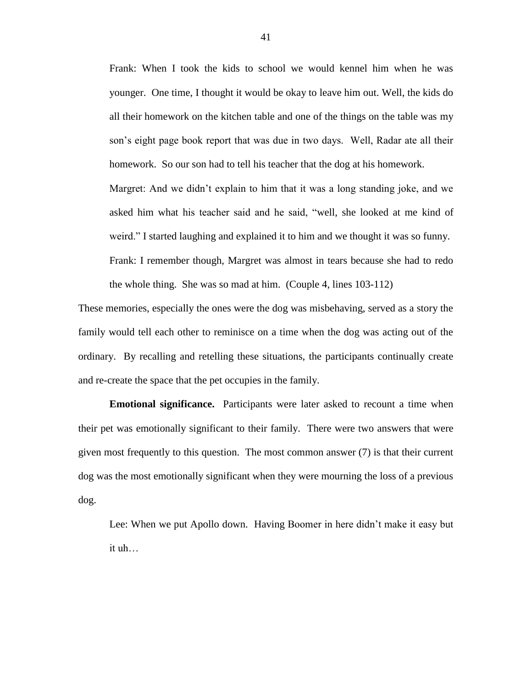Frank: When I took the kids to school we would kennel him when he was younger. One time, I thought it would be okay to leave him out. Well, the kids do all their homework on the kitchen table and one of the things on the table was my son's eight page book report that was due in two days. Well, Radar ate all their homework. So our son had to tell his teacher that the dog at his homework.

Margret: And we didn't explain to him that it was a long standing joke, and we asked him what his teacher said and he said, "well, she looked at me kind of weird." I started laughing and explained it to him and we thought it was so funny. Frank: I remember though, Margret was almost in tears because she had to redo the whole thing. She was so mad at him. (Couple 4, lines 103-112)

These memories, especially the ones were the dog was misbehaving, served as a story the family would tell each other to reminisce on a time when the dog was acting out of the ordinary. By recalling and retelling these situations, the participants continually create and re-create the space that the pet occupies in the family.

**Emotional significance.** Participants were later asked to recount a time when their pet was emotionally significant to their family. There were two answers that were given most frequently to this question. The most common answer  $(7)$  is that their current dog was the most emotionally significant when they were mourning the loss of a previous dog.

Lee: When we put Apollo down. Having Boomer in here didn't make it easy but it uh…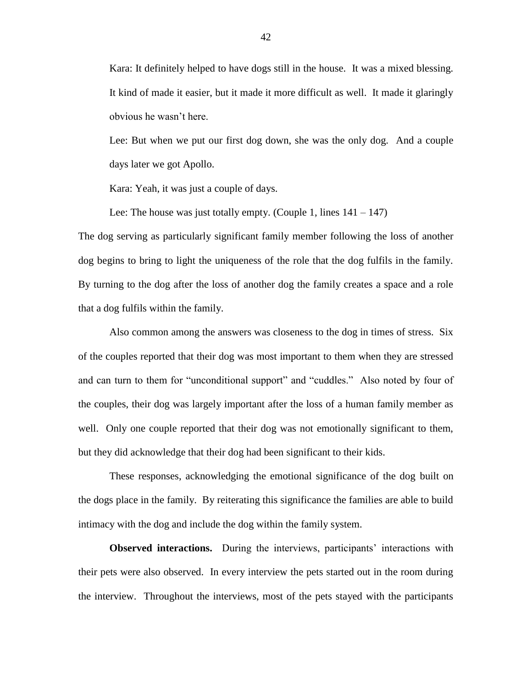Kara: It definitely helped to have dogs still in the house. It was a mixed blessing. It kind of made it easier, but it made it more difficult as well. It made it glaringly obvious he wasn't here.

Lee: But when we put our first dog down, she was the only dog. And a couple days later we got Apollo.

Kara: Yeah, it was just a couple of days.

Lee: The house was just totally empty. (Couple 1, lines  $141 - 147$ )

The dog serving as particularly significant family member following the loss of another dog begins to bring to light the uniqueness of the role that the dog fulfils in the family. By turning to the dog after the loss of another dog the family creates a space and a role that a dog fulfils within the family.

Also common among the answers was closeness to the dog in times of stress. Six of the couples reported that their dog was most important to them when they are stressed and can turn to them for "unconditional support" and "cuddles." Also noted by four of the couples, their dog was largely important after the loss of a human family member as well. Only one couple reported that their dog was not emotionally significant to them, but they did acknowledge that their dog had been significant to their kids.

These responses, acknowledging the emotional significance of the dog built on the dogs place in the family. By reiterating this significance the families are able to build intimacy with the dog and include the dog within the family system.

**Observed interactions.** During the interviews, participants' interactions with their pets were also observed. In every interview the pets started out in the room during the interview. Throughout the interviews, most of the pets stayed with the participants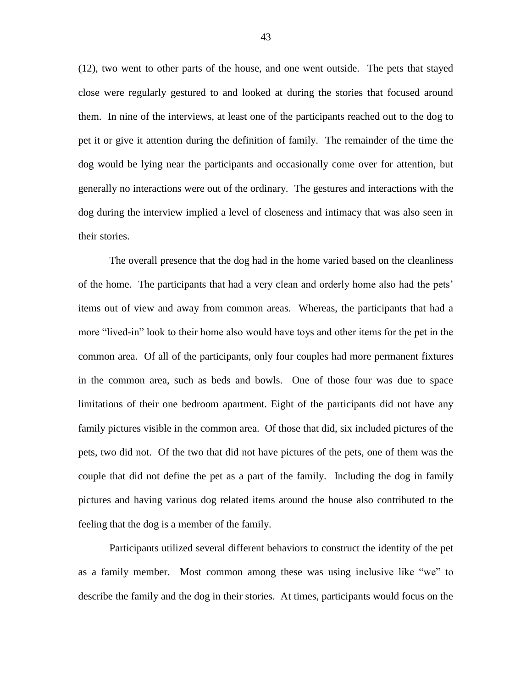(12), two went to other parts of the house, and one went outside. The pets that stayed close were regularly gestured to and looked at during the stories that focused around them. In nine of the interviews, at least one of the participants reached out to the dog to pet it or give it attention during the definition of family. The remainder of the time the dog would be lying near the participants and occasionally come over for attention, but generally no interactions were out of the ordinary. The gestures and interactions with the dog during the interview implied a level of closeness and intimacy that was also seen in their stories.

The overall presence that the dog had in the home varied based on the cleanliness of the home. The participants that had a very clean and orderly home also had the pets' items out of view and away from common areas. Whereas, the participants that had a more "lived-in" look to their home also would have toys and other items for the pet in the common area. Of all of the participants, only four couples had more permanent fixtures in the common area, such as beds and bowls. One of those four was due to space limitations of their one bedroom apartment. Eight of the participants did not have any family pictures visible in the common area. Of those that did, six included pictures of the pets, two did not. Of the two that did not have pictures of the pets, one of them was the couple that did not define the pet as a part of the family. Including the dog in family pictures and having various dog related items around the house also contributed to the feeling that the dog is a member of the family.

Participants utilized several different behaviors to construct the identity of the pet as a family member. Most common among these was using inclusive like "we" to describe the family and the dog in their stories. At times, participants would focus on the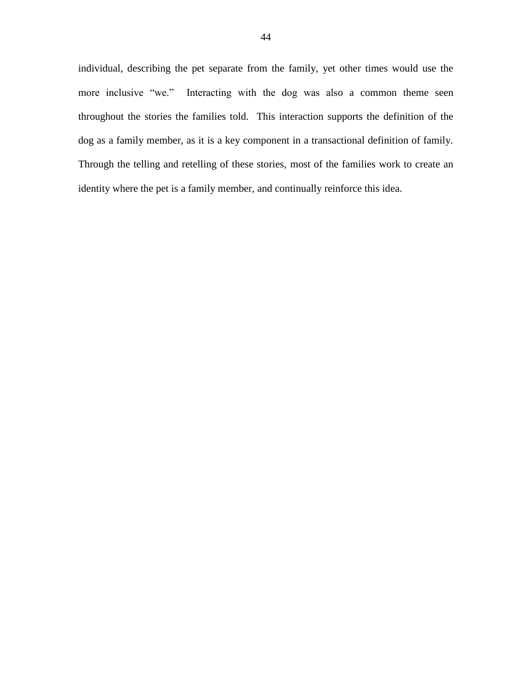individual, describing the pet separate from the family, yet other times would use the more inclusive "we." Interacting with the dog was also a common theme seen throughout the stories the families told. This interaction supports the definition of the dog as a family member, as it is a key component in a transactional definition of family. Through the telling and retelling of these stories, most of the families work to create an identity where the pet is a family member, and continually reinforce this idea.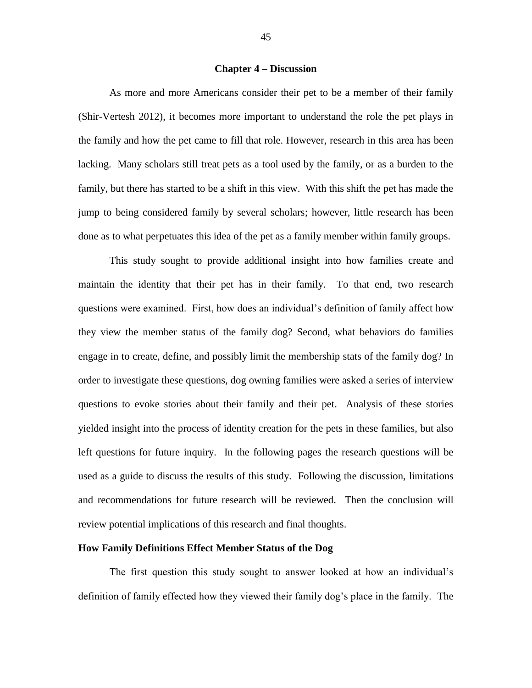#### **Chapter 4 – Discussion**

As more and more Americans consider their pet to be a member of their family (Shir-Vertesh 2012), it becomes more important to understand the role the pet plays in the family and how the pet came to fill that role. However, research in this area has been lacking. Many scholars still treat pets as a tool used by the family, or as a burden to the family, but there has started to be a shift in this view. With this shift the pet has made the jump to being considered family by several scholars; however, little research has been done as to what perpetuates this idea of the pet as a family member within family groups.

This study sought to provide additional insight into how families create and maintain the identity that their pet has in their family. To that end, two research questions were examined. First, how does an individual's definition of family affect how they view the member status of the family dog? Second, what behaviors do families engage in to create, define, and possibly limit the membership stats of the family dog? In order to investigate these questions, dog owning families were asked a series of interview questions to evoke stories about their family and their pet. Analysis of these stories yielded insight into the process of identity creation for the pets in these families, but also left questions for future inquiry. In the following pages the research questions will be used as a guide to discuss the results of this study. Following the discussion, limitations and recommendations for future research will be reviewed. Then the conclusion will review potential implications of this research and final thoughts.

## **How Family Definitions Effect Member Status of the Dog**

The first question this study sought to answer looked at how an individual's definition of family effected how they viewed their family dog's place in the family. The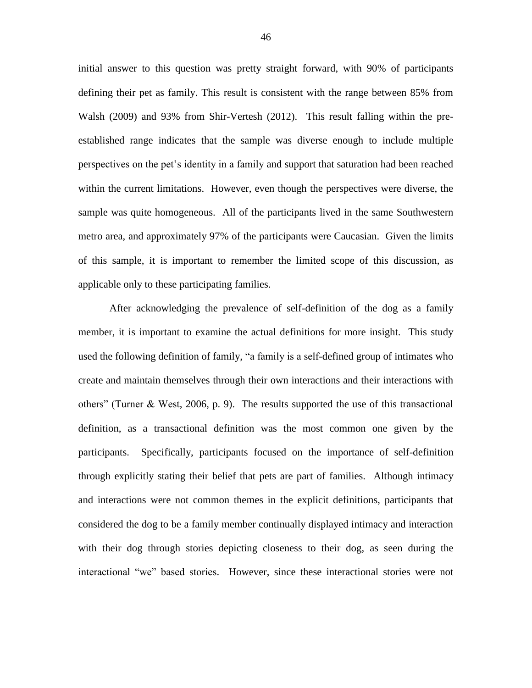initial answer to this question was pretty straight forward, with 90% of participants defining their pet as family. This result is consistent with the range between 85% from Walsh (2009) and 93% from Shir-Vertesh (2012). This result falling within the preestablished range indicates that the sample was diverse enough to include multiple perspectives on the pet's identity in a family and support that saturation had been reached within the current limitations. However, even though the perspectives were diverse, the sample was quite homogeneous. All of the participants lived in the same Southwestern metro area, and approximately 97% of the participants were Caucasian. Given the limits of this sample, it is important to remember the limited scope of this discussion, as applicable only to these participating families.

After acknowledging the prevalence of self-definition of the dog as a family member, it is important to examine the actual definitions for more insight. This study used the following definition of family, "a family is a self-defined group of intimates who create and maintain themselves through their own interactions and their interactions with others" (Turner & West, 2006, p. 9). The results supported the use of this transactional definition, as a transactional definition was the most common one given by the participants. Specifically, participants focused on the importance of self-definition through explicitly stating their belief that pets are part of families. Although intimacy and interactions were not common themes in the explicit definitions, participants that considered the dog to be a family member continually displayed intimacy and interaction with their dog through stories depicting closeness to their dog, as seen during the interactional "we" based stories. However, since these interactional stories were not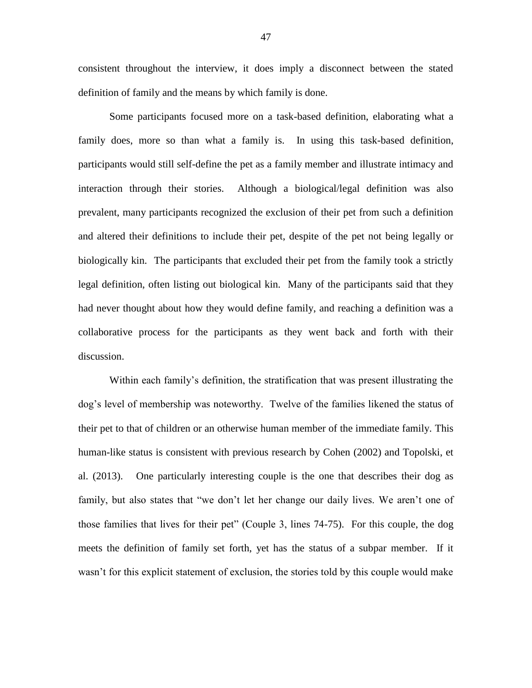consistent throughout the interview, it does imply a disconnect between the stated definition of family and the means by which family is done.

Some participants focused more on a task-based definition, elaborating what a family does, more so than what a family is. In using this task-based definition, participants would still self-define the pet as a family member and illustrate intimacy and interaction through their stories. Although a biological/legal definition was also prevalent, many participants recognized the exclusion of their pet from such a definition and altered their definitions to include their pet, despite of the pet not being legally or biologically kin. The participants that excluded their pet from the family took a strictly legal definition, often listing out biological kin. Many of the participants said that they had never thought about how they would define family, and reaching a definition was a collaborative process for the participants as they went back and forth with their discussion.

Within each family's definition, the stratification that was present illustrating the dog's level of membership was noteworthy. Twelve of the families likened the status of their pet to that of children or an otherwise human member of the immediate family. This human-like status is consistent with previous research by Cohen (2002) and Topolski, et al. (2013). One particularly interesting couple is the one that describes their dog as family, but also states that "we don't let her change our daily lives. We aren't one of those families that lives for their pet" (Couple 3, lines 74-75). For this couple, the dog meets the definition of family set forth, yet has the status of a subpar member. If it wasn't for this explicit statement of exclusion, the stories told by this couple would make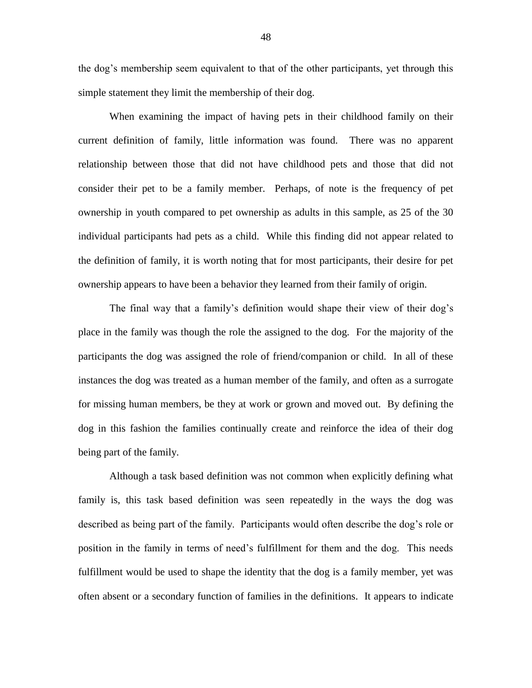the dog's membership seem equivalent to that of the other participants, yet through this simple statement they limit the membership of their dog.

When examining the impact of having pets in their childhood family on their current definition of family, little information was found. There was no apparent relationship between those that did not have childhood pets and those that did not consider their pet to be a family member. Perhaps, of note is the frequency of pet ownership in youth compared to pet ownership as adults in this sample, as 25 of the 30 individual participants had pets as a child. While this finding did not appear related to the definition of family, it is worth noting that for most participants, their desire for pet ownership appears to have been a behavior they learned from their family of origin.

The final way that a family's definition would shape their view of their dog's place in the family was though the role the assigned to the dog. For the majority of the participants the dog was assigned the role of friend/companion or child. In all of these instances the dog was treated as a human member of the family, and often as a surrogate for missing human members, be they at work or grown and moved out. By defining the dog in this fashion the families continually create and reinforce the idea of their dog being part of the family.

Although a task based definition was not common when explicitly defining what family is, this task based definition was seen repeatedly in the ways the dog was described as being part of the family. Participants would often describe the dog's role or position in the family in terms of need's fulfillment for them and the dog. This needs fulfillment would be used to shape the identity that the dog is a family member, yet was often absent or a secondary function of families in the definitions. It appears to indicate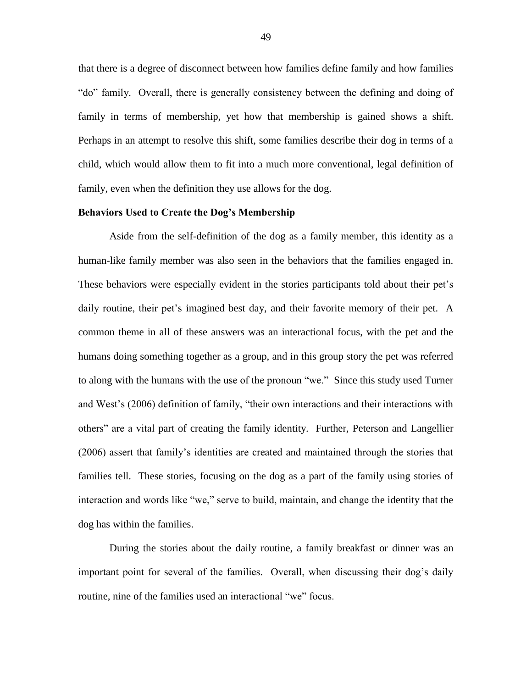that there is a degree of disconnect between how families define family and how families "do" family. Overall, there is generally consistency between the defining and doing of family in terms of membership, yet how that membership is gained shows a shift. Perhaps in an attempt to resolve this shift, some families describe their dog in terms of a child, which would allow them to fit into a much more conventional, legal definition of family, even when the definition they use allows for the dog.

#### **Behaviors Used to Create the Dog's Membership**

Aside from the self-definition of the dog as a family member, this identity as a human-like family member was also seen in the behaviors that the families engaged in. These behaviors were especially evident in the stories participants told about their pet's daily routine, their pet's imagined best day, and their favorite memory of their pet. A common theme in all of these answers was an interactional focus, with the pet and the humans doing something together as a group, and in this group story the pet was referred to along with the humans with the use of the pronoun "we." Since this study used Turner and West's (2006) definition of family, "their own interactions and their interactions with others" are a vital part of creating the family identity. Further, Peterson and Langellier (2006) assert that family's identities are created and maintained through the stories that families tell. These stories, focusing on the dog as a part of the family using stories of interaction and words like "we," serve to build, maintain, and change the identity that the dog has within the families.

During the stories about the daily routine, a family breakfast or dinner was an important point for several of the families. Overall, when discussing their dog's daily routine, nine of the families used an interactional "we" focus.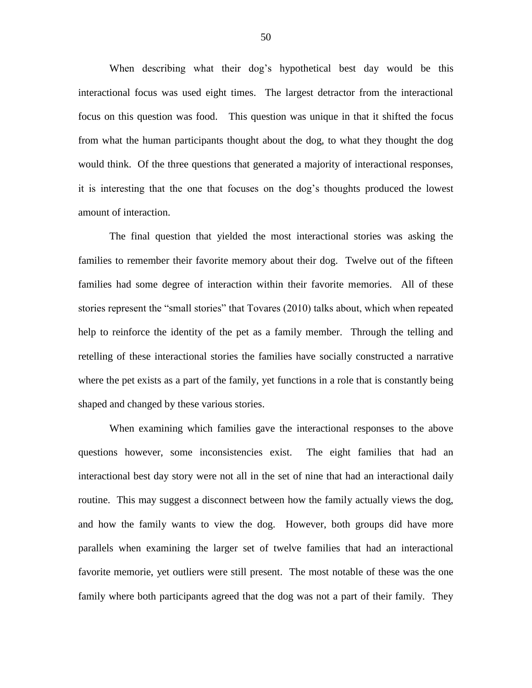When describing what their dog's hypothetical best day would be this interactional focus was used eight times. The largest detractor from the interactional focus on this question was food. This question was unique in that it shifted the focus from what the human participants thought about the dog, to what they thought the dog would think. Of the three questions that generated a majority of interactional responses, it is interesting that the one that focuses on the dog's thoughts produced the lowest amount of interaction.

The final question that yielded the most interactional stories was asking the families to remember their favorite memory about their dog. Twelve out of the fifteen families had some degree of interaction within their favorite memories. All of these stories represent the "small stories" that Tovares (2010) talks about, which when repeated help to reinforce the identity of the pet as a family member. Through the telling and retelling of these interactional stories the families have socially constructed a narrative where the pet exists as a part of the family, yet functions in a role that is constantly being shaped and changed by these various stories.

When examining which families gave the interactional responses to the above questions however, some inconsistencies exist. The eight families that had an interactional best day story were not all in the set of nine that had an interactional daily routine. This may suggest a disconnect between how the family actually views the dog, and how the family wants to view the dog. However, both groups did have more parallels when examining the larger set of twelve families that had an interactional favorite memorie, yet outliers were still present. The most notable of these was the one family where both participants agreed that the dog was not a part of their family. They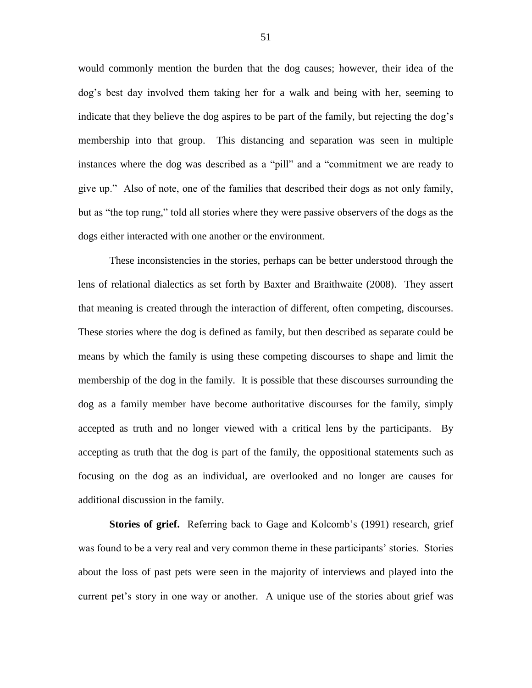would commonly mention the burden that the dog causes; however, their idea of the dog's best day involved them taking her for a walk and being with her, seeming to indicate that they believe the dog aspires to be part of the family, but rejecting the dog's membership into that group. This distancing and separation was seen in multiple instances where the dog was described as a "pill" and a "commitment we are ready to give up." Also of note, one of the families that described their dogs as not only family, but as "the top rung," told all stories where they were passive observers of the dogs as the dogs either interacted with one another or the environment.

These inconsistencies in the stories, perhaps can be better understood through the lens of relational dialectics as set forth by Baxter and Braithwaite (2008). They assert that meaning is created through the interaction of different, often competing, discourses. These stories where the dog is defined as family, but then described as separate could be means by which the family is using these competing discourses to shape and limit the membership of the dog in the family. It is possible that these discourses surrounding the dog as a family member have become authoritative discourses for the family, simply accepted as truth and no longer viewed with a critical lens by the participants. By accepting as truth that the dog is part of the family, the oppositional statements such as focusing on the dog as an individual, are overlooked and no longer are causes for additional discussion in the family.

**Stories of grief.** Referring back to Gage and Kolcomb's (1991) research, grief was found to be a very real and very common theme in these participants' stories. Stories about the loss of past pets were seen in the majority of interviews and played into the current pet's story in one way or another. A unique use of the stories about grief was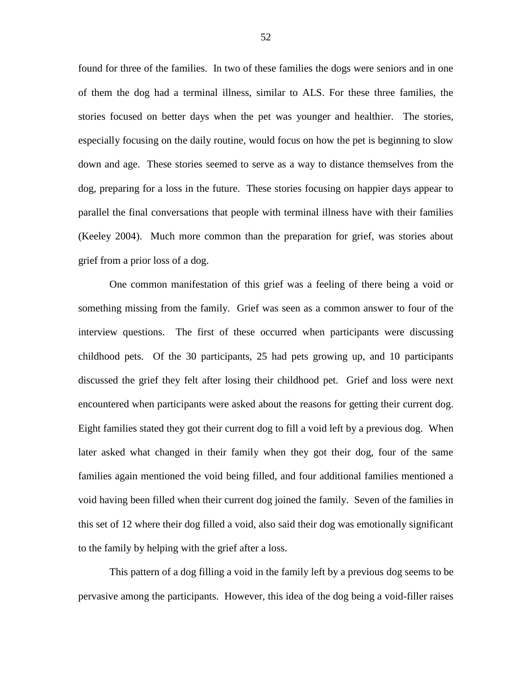found for three of the families. In two of these families the dogs were seniors and in one of them the dog had a terminal illness, similar to ALS. For these three families, the stories focused on better days when the pet was younger and healthier. The stories, especially focusing on the daily routine, would focus on how the pet is beginning to slow down and age. These stories seemed to serve as a way to distance themselves from the dog, preparing for a loss in the future. These stories focusing on happier days appear to parallel the final conversations that people with terminal illness have with their families (Keeley 2004). Much more common than the preparation for grief, was stories about grief from a prior loss of a dog.

One common manifestation of this grief was a feeling of there being a void or something missing from the family. Grief was seen as a common answer to four of the interview questions. The first of these occurred when participants were discussing childhood pets. Of the 30 participants, 25 had pets growing up, and 10 participants discussed the grief they felt after losing their childhood pet. Grief and loss were next encountered when participants were asked about the reasons for getting their current dog. Eight families stated they got their current dog to fill a void left by a previous dog. When later asked what changed in their family when they got their dog, four of the same families again mentioned the void being filled, and four additional families mentioned a void having been filled when their current dog joined the family. Seven of the families in this set of 12 where their dog filled a void, also said their dog was emotionally significant to the family by helping with the grief after a loss.

This pattern of a dog filling a void in the family left by a previous dog seems to be pervasive among the participants. However, this idea of the dog being a void-filler raises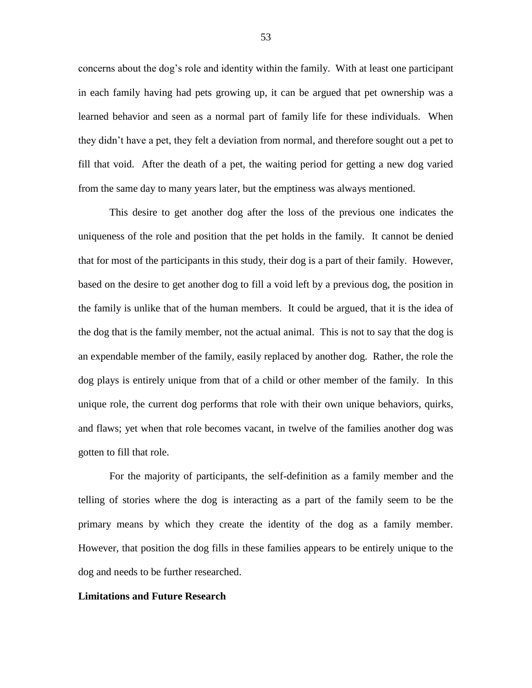concerns about the dog's role and identity within the family. With at least one participant in each family having had pets growing up, it can be argued that pet ownership was a learned behavior and seen as a normal part of family life for these individuals. When they didn't have a pet, they felt a deviation from normal, and therefore sought out a pet to fill that void. After the death of a pet, the waiting period for getting a new dog varied from the same day to many years later, but the emptiness was always mentioned.

This desire to get another dog after the loss of the previous one indicates the uniqueness of the role and position that the pet holds in the family. It cannot be denied that for most of the participants in this study, their dog is a part of their family. However, based on the desire to get another dog to fill a void left by a previous dog, the position in the family is unlike that of the human members. It could be argued, that it is the idea of the dog that is the family member, not the actual animal. This is not to say that the dog is an expendable member of the family, easily replaced by another dog. Rather, the role the dog plays is entirely unique from that of a child or other member of the family. In this unique role, the current dog performs that role with their own unique behaviors, quirks, and flaws; yet when that role becomes vacant, in twelve of the families another dog was gotten to fill that role.

For the majority of participants, the self-definition as a family member and the telling of stories where the dog is interacting as a part of the family seem to be the primary means by which they create the identity of the dog as a family member. However, that position the dog fills in these families appears to be entirely unique to the dog and needs to be further researched.

#### **Limitations and Future Research**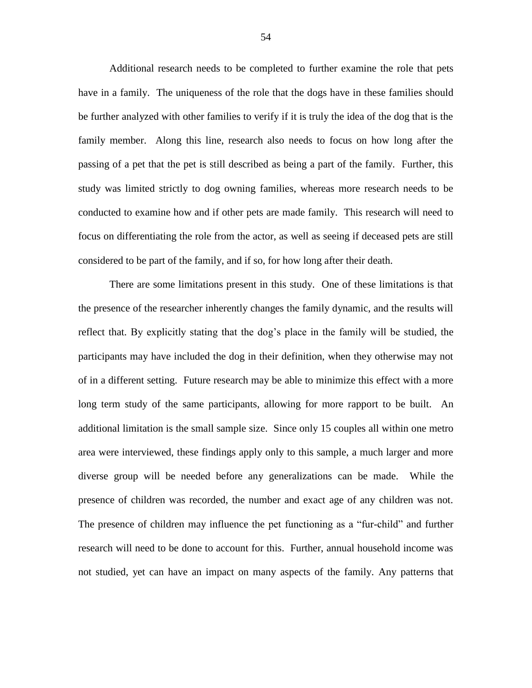Additional research needs to be completed to further examine the role that pets have in a family. The uniqueness of the role that the dogs have in these families should be further analyzed with other families to verify if it is truly the idea of the dog that is the family member. Along this line, research also needs to focus on how long after the passing of a pet that the pet is still described as being a part of the family. Further, this study was limited strictly to dog owning families, whereas more research needs to be conducted to examine how and if other pets are made family. This research will need to focus on differentiating the role from the actor, as well as seeing if deceased pets are still considered to be part of the family, and if so, for how long after their death.

There are some limitations present in this study. One of these limitations is that the presence of the researcher inherently changes the family dynamic, and the results will reflect that. By explicitly stating that the dog's place in the family will be studied, the participants may have included the dog in their definition, when they otherwise may not of in a different setting. Future research may be able to minimize this effect with a more long term study of the same participants, allowing for more rapport to be built. An additional limitation is the small sample size. Since only 15 couples all within one metro area were interviewed, these findings apply only to this sample, a much larger and more diverse group will be needed before any generalizations can be made. While the presence of children was recorded, the number and exact age of any children was not. The presence of children may influence the pet functioning as a "fur-child" and further research will need to be done to account for this. Further, annual household income was not studied, yet can have an impact on many aspects of the family. Any patterns that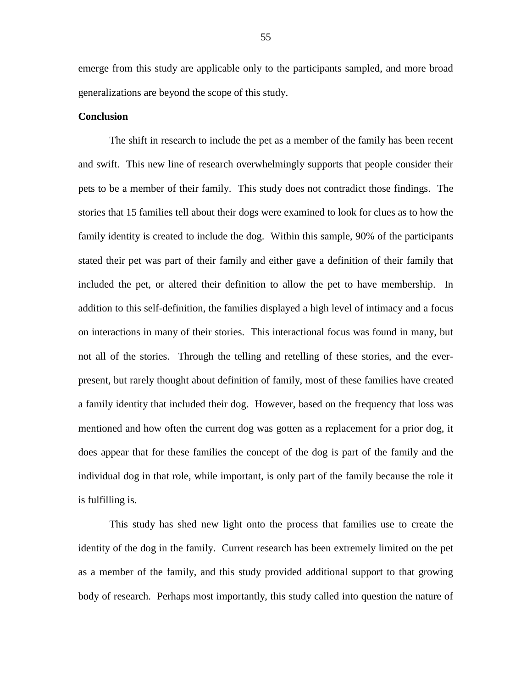emerge from this study are applicable only to the participants sampled, and more broad generalizations are beyond the scope of this study.

#### **Conclusion**

The shift in research to include the pet as a member of the family has been recent and swift. This new line of research overwhelmingly supports that people consider their pets to be a member of their family. This study does not contradict those findings. The stories that 15 families tell about their dogs were examined to look for clues as to how the family identity is created to include the dog. Within this sample, 90% of the participants stated their pet was part of their family and either gave a definition of their family that included the pet, or altered their definition to allow the pet to have membership. In addition to this self-definition, the families displayed a high level of intimacy and a focus on interactions in many of their stories. This interactional focus was found in many, but not all of the stories. Through the telling and retelling of these stories, and the everpresent, but rarely thought about definition of family, most of these families have created a family identity that included their dog. However, based on the frequency that loss was mentioned and how often the current dog was gotten as a replacement for a prior dog, it does appear that for these families the concept of the dog is part of the family and the individual dog in that role, while important, is only part of the family because the role it is fulfilling is.

This study has shed new light onto the process that families use to create the identity of the dog in the family. Current research has been extremely limited on the pet as a member of the family, and this study provided additional support to that growing body of research. Perhaps most importantly, this study called into question the nature of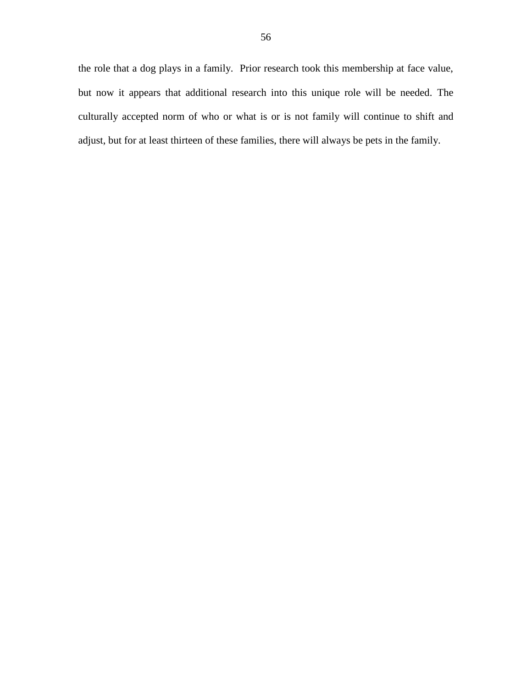the role that a dog plays in a family. Prior research took this membership at face value, but now it appears that additional research into this unique role will be needed. The culturally accepted norm of who or what is or is not family will continue to shift and adjust, but for at least thirteen of these families, there will always be pets in the family.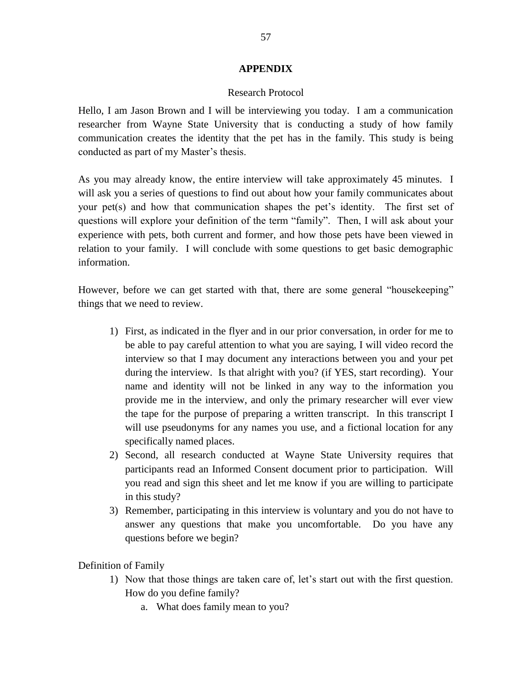# **APPENDIX**

# Research Protocol

Hello, I am Jason Brown and I will be interviewing you today. I am a communication researcher from Wayne State University that is conducting a study of how family communication creates the identity that the pet has in the family. This study is being conducted as part of my Master's thesis.

As you may already know, the entire interview will take approximately 45 minutes. I will ask you a series of questions to find out about how your family communicates about your pet(s) and how that communication shapes the pet's identity. The first set of questions will explore your definition of the term "family". Then, I will ask about your experience with pets, both current and former, and how those pets have been viewed in relation to your family. I will conclude with some questions to get basic demographic information.

However, before we can get started with that, there are some general "housekeeping" things that we need to review.

- 1) First, as indicated in the flyer and in our prior conversation, in order for me to be able to pay careful attention to what you are saying, I will video record the interview so that I may document any interactions between you and your pet during the interview. Is that alright with you? (if YES, start recording). Your name and identity will not be linked in any way to the information you provide me in the interview, and only the primary researcher will ever view the tape for the purpose of preparing a written transcript. In this transcript I will use pseudonyms for any names you use, and a fictional location for any specifically named places.
- 2) Second, all research conducted at Wayne State University requires that participants read an Informed Consent document prior to participation. Will you read and sign this sheet and let me know if you are willing to participate in this study?
- 3) Remember, participating in this interview is voluntary and you do not have to answer any questions that make you uncomfortable. Do you have any questions before we begin?

Definition of Family

- 1) Now that those things are taken care of, let's start out with the first question. How do you define family?
	- a. What does family mean to you?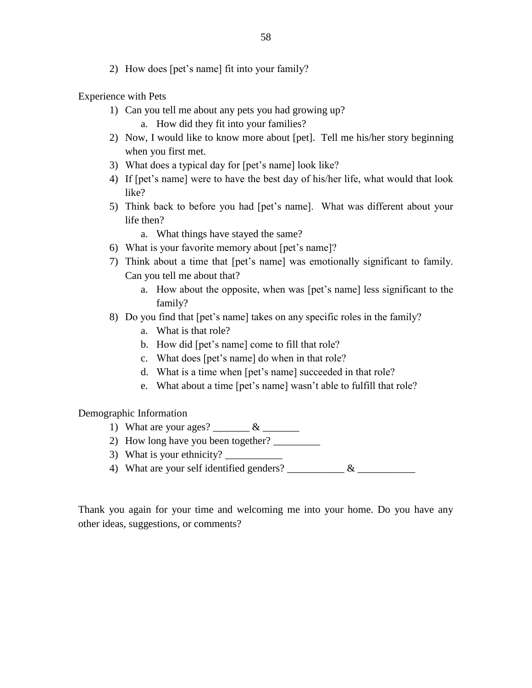2) How does [pet's name] fit into your family?

Experience with Pets

- 1) Can you tell me about any pets you had growing up?
	- a. How did they fit into your families?
- 2) Now, I would like to know more about [pet]. Tell me his/her story beginning when you first met.
- 3) What does a typical day for [pet's name] look like?
- 4) If [pet's name] were to have the best day of his/her life, what would that look like?
- 5) Think back to before you had [pet's name]. What was different about your life then?
	- a. What things have stayed the same?
- 6) What is your favorite memory about [pet's name]?
- 7) Think about a time that [pet's name] was emotionally significant to family. Can you tell me about that?
	- a. How about the opposite, when was [pet's name] less significant to the family?
- 8) Do you find that [pet's name] takes on any specific roles in the family?
	- a. What is that role?
	- b. How did [pet's name] come to fill that role?
	- c. What does [pet's name] do when in that role?
	- d. What is a time when [pet's name] succeeded in that role?
	- e. What about a time [pet's name] wasn't able to fulfill that role?

Demographic Information

- 1) What are your ages? \_\_\_\_\_\_\_\_ & \_\_\_\_\_\_\_\_
- 2) How long have you been together?
- 3) What is your ethnicity?
- 4) What are your self identified genders? \_\_\_\_\_\_\_\_\_\_\_ & \_\_\_\_\_\_\_\_\_\_\_

Thank you again for your time and welcoming me into your home. Do you have any other ideas, suggestions, or comments?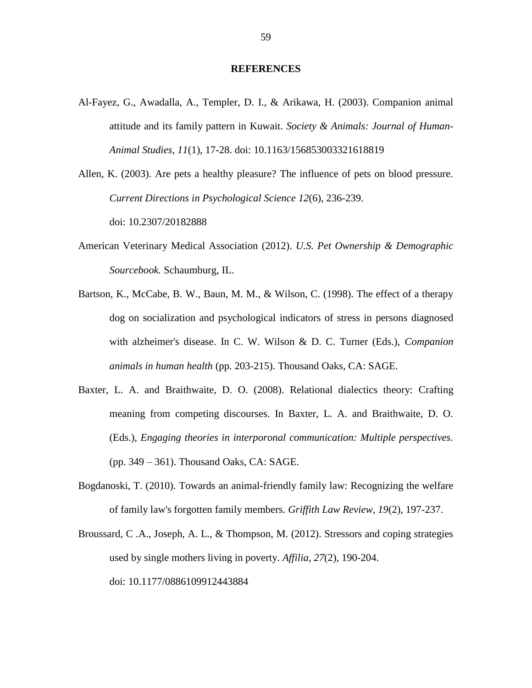#### **REFERENCES**

- Al-Fayez, G., Awadalla, A., Templer, D. I., & Arikawa, H. (2003). Companion animal attitude and its family pattern in Kuwait. *Society & Animals: Journal of Human-Animal Studies, 11*(1), 17-28. doi: 10.1163/156853003321618819
- Allen, K. (2003). Are pets a healthy pleasure? The influence of pets on blood pressure. *Current Directions in Psychological Science 12*(6), 236-239. doi: 10.2307/20182888
- American Veterinary Medical Association (2012). *U.S. Pet Ownership & Demographic Sourcebook.* Schaumburg, IL.
- Bartson, K., McCabe, B. W., Baun, M. M., & Wilson, C. (1998). The effect of a therapy dog on socialization and psychological indicators of stress in persons diagnosed with alzheimer's disease. In C. W. Wilson & D. C. Turner (Eds.), *Companion animals in human health* (pp. 203-215). Thousand Oaks, CA: SAGE.
- Baxter, L. A. and Braithwaite, D. O. (2008). Relational dialectics theory: Crafting meaning from competing discourses. In Baxter, L. A. and Braithwaite, D. O. (Eds.), *Engaging theories in interporonal communication: Multiple perspectives.*  (pp. 349 – 361). Thousand Oaks, CA: SAGE.
- Bogdanoski, T. (2010). Towards an animal-friendly family law: Recognizing the welfare of family law's forgotten family members. *Griffith Law Review, 19*(2), 197-237.
- Broussard, C .A., Joseph, A. L., & Thompson, M. (2012). Stressors and coping strategies used by single mothers living in poverty. *Affilia, 27*(2), 190-204. doi: 10.1177/0886109912443884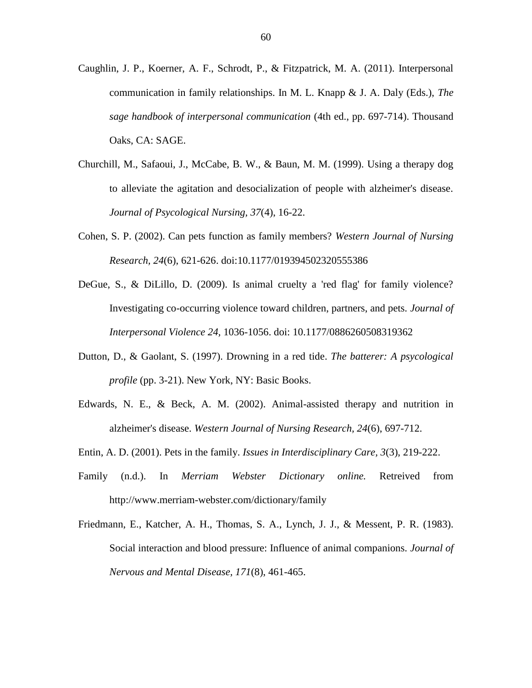- Caughlin, J. P., Koerner, A. F., Schrodt, P., & Fitzpatrick, M. A. (2011). Interpersonal communication in family relationships. In M. L. Knapp & J. A. Daly (Eds.), *The sage handbook of interpersonal communication* (4th ed., pp. 697-714). Thousand Oaks, CA: SAGE.
- Churchill, M., Safaoui, J., McCabe, B. W., & Baun, M. M. (1999). Using a therapy dog to alleviate the agitation and desocialization of people with alzheimer's disease. *Journal of Psycological Nursing, 37*(4), 16-22.
- Cohen, S. P. (2002). Can pets function as family members? *Western Journal of Nursing Research, 24*(6), 621-626. doi:10.1177/019394502320555386
- DeGue, S., & DiLillo, D. (2009). Is animal cruelty a 'red flag' for family violence? Investigating co-occurring violence toward children, partners, and pets. *Journal of Interpersonal Violence 24,* 1036-1056. doi: 10.1177/0886260508319362
- Dutton, D., & Gaolant, S. (1997). Drowning in a red tide. *The batterer: A psycological profile* (pp. 3-21). New York, NY: Basic Books.
- Edwards, N. E., & Beck, A. M. (2002). Animal-assisted therapy and nutrition in alzheimer's disease. *Western Journal of Nursing Research, 24*(6), 697-712.
- Entin, A. D. (2001). Pets in the family. *Issues in Interdisciplinary Care, 3*(3), 219-222.
- Family (n.d.). In *Merriam Webster Dictionary online.* Retreived from http://www.merriam-webster.com/dictionary/family
- Friedmann, E., Katcher, A. H., Thomas, S. A., Lynch, J. J., & Messent, P. R. (1983). Social interaction and blood pressure: Influence of animal companions. *Journal of Nervous and Mental Disease, 171*(8), 461-465.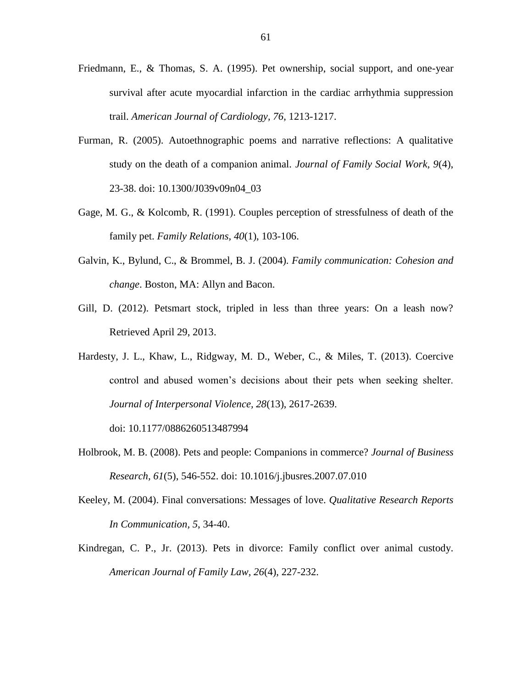- Friedmann, E., & Thomas, S. A. (1995). Pet ownership, social support, and one-year survival after acute myocardial infarction in the cardiac arrhythmia suppression trail. *American Journal of Cardiology, 76*, 1213-1217.
- Furman, R. (2005). Autoethnographic poems and narrative reflections: A qualitative study on the death of a companion animal. *Journal of Family Social Work, 9*(4), 23-38. doi: 10.1300/J039v09n04\_03
- Gage, M. G., & Kolcomb, R. (1991). Couples perception of stressfulness of death of the family pet. *Family Relations, 40*(1), 103-106.
- Galvin, K., Bylund, C., & Brommel, B. J. (2004). *Family communication: Cohesion and change*. Boston, MA: Allyn and Bacon.
- Gill, D. (2012). Petsmart stock, tripled in less than three years: On a leash now? Retrieved April 29, 2013.
- Hardesty, J. L., Khaw, L., Ridgway, M. D., Weber, C., & Miles, T. (2013). Coercive control and abused women's decisions about their pets when seeking shelter. *Journal of Interpersonal Violence, 28*(13), 2617-2639.

doi: 10.1177/0886260513487994

- Holbrook, M. B. (2008). Pets and people: Companions in commerce? *Journal of Business Research, 61*(5), 546-552. doi: 10.1016/j.jbusres.2007.07.010
- Keeley, M. (2004). Final conversations: Messages of love. *Qualitative Research Reports In Communication, 5*, 34-40.
- Kindregan, C. P., Jr. (2013). Pets in divorce: Family conflict over animal custody. *American Journal of Family Law, 26*(4), 227-232.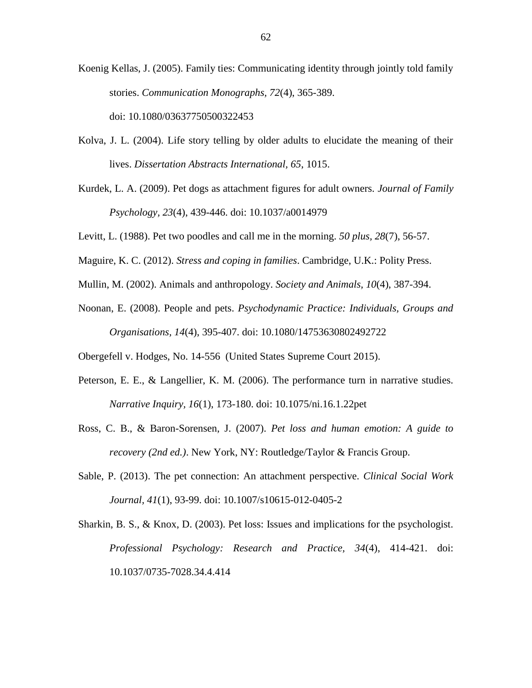Koenig Kellas, J. (2005). Family ties: Communicating identity through jointly told family stories. *Communication Monographs, 72*(4), 365-389.

doi: 10.1080/03637750500322453

- Kolva, J. L. (2004). Life story telling by older adults to elucidate the meaning of their lives. *Dissertation Abstracts International, 65*, 1015.
- Kurdek, L. A. (2009). Pet dogs as attachment figures for adult owners. *Journal of Family Psychology, 23*(4), 439-446. doi: 10.1037/a0014979
- Levitt, L. (1988). Pet two poodles and call me in the morning. *50 plus, 28*(7), 56-57.
- Maguire, K. C. (2012). *Stress and coping in families*. Cambridge, U.K.: Polity Press.
- Mullin, M. (2002). Animals and anthropology. *Society and Animals, 10*(4), 387-394.
- Noonan, E. (2008). People and pets. *Psychodynamic Practice: Individuals, Groups and Organisations, 14*(4), 395-407. doi: 10.1080/14753630802492722

Obergefell v. Hodges, No. 14-556 (United States Supreme Court 2015).

- Peterson, E. E., & Langellier, K. M. (2006). The performance turn in narrative studies. *Narrative Inquiry, 16*(1), 173-180. doi: 10.1075/ni.16.1.22pet
- Ross, C. B., & Baron-Sorensen, J. (2007). *Pet loss and human emotion: A guide to recovery (2nd ed.)*. New York, NY: Routledge/Taylor & Francis Group.
- Sable, P. (2013). The pet connection: An attachment perspective. *Clinical Social Work Journal, 41*(1), 93-99. doi: 10.1007/s10615-012-0405-2
- Sharkin, B. S., & Knox, D. (2003). Pet loss: Issues and implications for the psychologist. *Professional Psychology: Research and Practice, 34*(4), 414-421. doi: 10.1037/0735-7028.34.4.414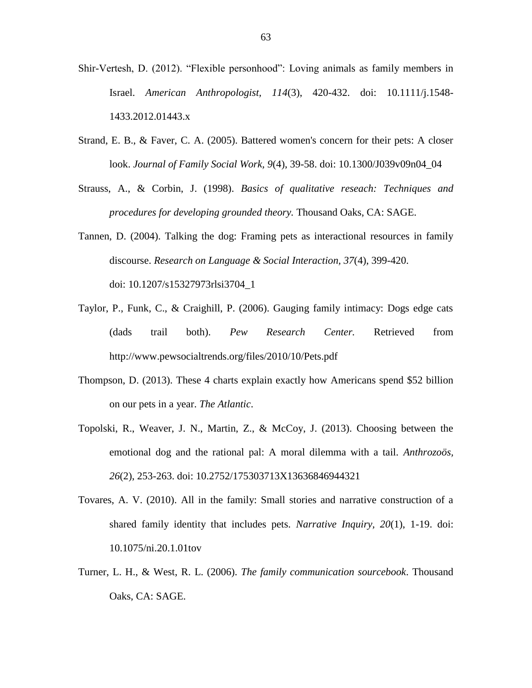- Shir-Vertesh, D. (2012). "Flexible personhood": Loving animals as family members in Israel. *American Anthropologist, 114*(3), 420-432. doi: 10.1111/j.1548- 1433.2012.01443.x
- Strand, E. B., & Faver, C. A. (2005). Battered women's concern for their pets: A closer look. *Journal of Family Social Work, 9*(4), 39-58. doi: 10.1300/J039v09n04\_04
- Strauss, A., & Corbin, J. (1998). *Basics of qualitative reseach: Techniques and procedures for developing grounded theory.* Thousand Oaks, CA: SAGE.
- Tannen, D. (2004). Talking the dog: Framing pets as interactional resources in family discourse. *Research on Language & Social Interaction, 37*(4), 399-420. doi: 10.1207/s15327973rlsi3704\_1
- Taylor, P., Funk, C., & Craighill, P. (2006). Gauging family intimacy: Dogs edge cats (dads trail both). *Pew Research Center.* Retrieved from http://www.pewsocialtrends.org/files/2010/10/Pets.pdf
- Thompson, D. (2013). These 4 charts explain exactly how Americans spend \$52 billion on our pets in a year. *The Atlantic*.
- Topolski, R., Weaver, J. N., Martin, Z., & McCoy, J. (2013). Choosing between the emotional dog and the rational pal: A moral dilemma with a tail. *Anthrozoös, 26*(2), 253-263. doi: 10.2752/175303713X13636846944321
- Tovares, A. V. (2010). All in the family: Small stories and narrative construction of a shared family identity that includes pets. *Narrative Inquiry, 20*(1), 1-19. doi: 10.1075/ni.20.1.01tov
- Turner, L. H., & West, R. L. (2006). *The family communication sourcebook*. Thousand Oaks, CA: SAGE.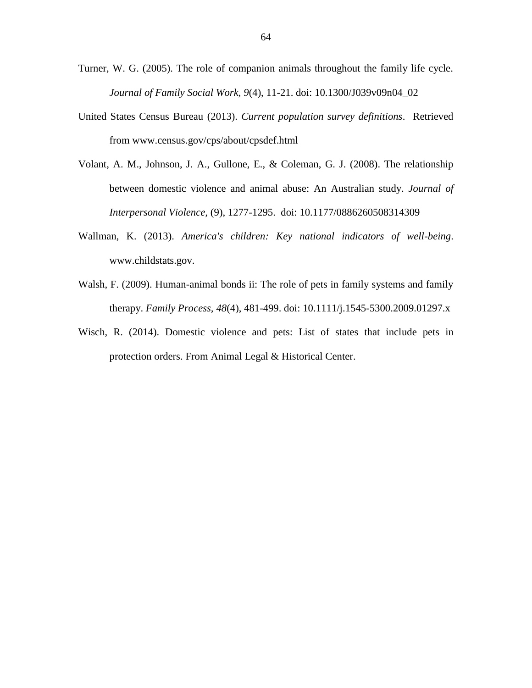- Turner, W. G. (2005). The role of companion animals throughout the family life cycle. *Journal of Family Social Work, 9*(4), 11-21. doi: 10.1300/J039v09n04\_02
- United States Census Bureau (2013). *Current population survey definitions*. Retrieved from www.census.gov/cps/about/cpsdef.html
- Volant, A. M., Johnson, J. A., Gullone, E., & Coleman, G. J. (2008). The relationship between domestic violence and animal abuse: An Australian study. *Journal of Interpersonal Violence,* (9), 1277-1295. doi: 10.1177/0886260508314309
- Wallman, K. (2013). *America's children: Key national indicators of well-being*. www.childstats.gov.
- Walsh, F. (2009). Human-animal bonds ii: The role of pets in family systems and family therapy. *Family Process, 48*(4), 481-499. doi: 10.1111/j.1545-5300.2009.01297.x
- Wisch, R. (2014). Domestic violence and pets: List of states that include pets in protection orders. From Animal Legal & Historical Center.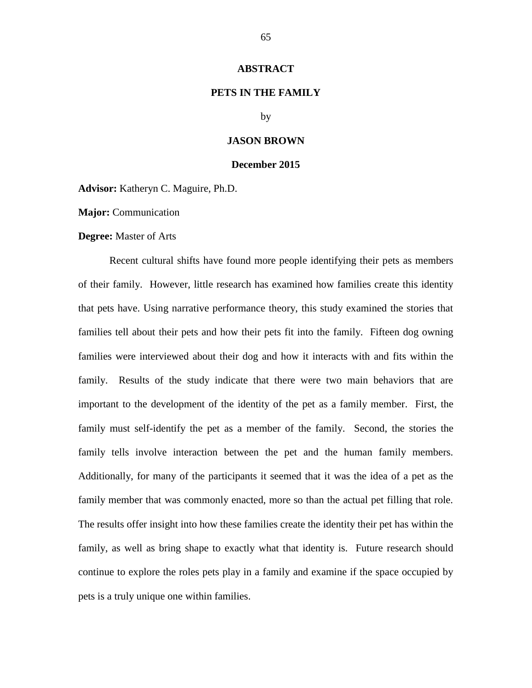#### **ABSTRACT**

# **PETS IN THE FAMILY**

by

#### **JASON BROWN**

#### **December 2015**

**Advisor:** Katheryn C. Maguire, Ph.D.

**Major:** Communication

#### **Degree:** Master of Arts

Recent cultural shifts have found more people identifying their pets as members of their family. However, little research has examined how families create this identity that pets have. Using narrative performance theory, this study examined the stories that families tell about their pets and how their pets fit into the family. Fifteen dog owning families were interviewed about their dog and how it interacts with and fits within the family. Results of the study indicate that there were two main behaviors that are important to the development of the identity of the pet as a family member. First, the family must self-identify the pet as a member of the family. Second, the stories the family tells involve interaction between the pet and the human family members. Additionally, for many of the participants it seemed that it was the idea of a pet as the family member that was commonly enacted, more so than the actual pet filling that role. The results offer insight into how these families create the identity their pet has within the family, as well as bring shape to exactly what that identity is. Future research should continue to explore the roles pets play in a family and examine if the space occupied by pets is a truly unique one within families.